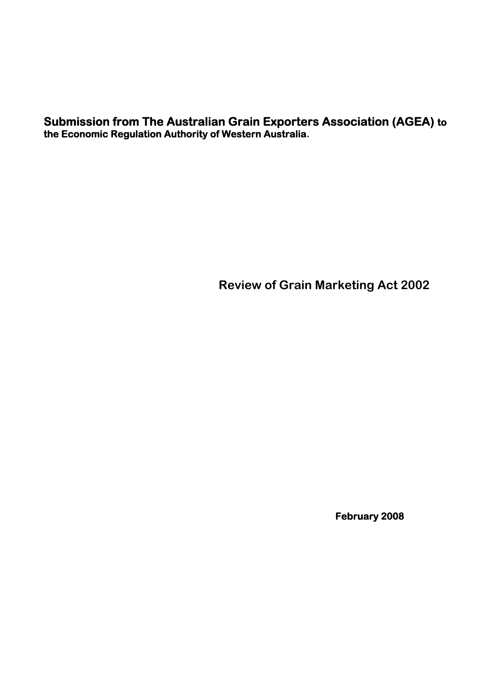**Submission from The Australian Grain Exporters Association (AGEA) to the Economic Regulation Authority of Western Australia.**

**Review of Grain Marketing Act 2002** 

 **February 2008**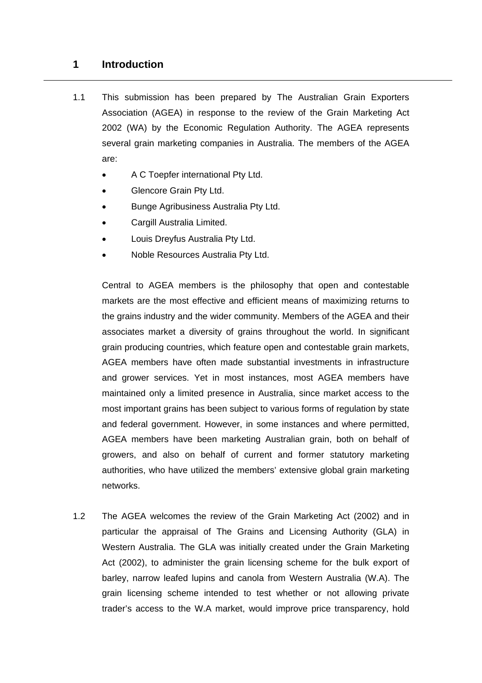### **1 Introduction**

- 1.1 This submission has been prepared by The Australian Grain Exporters Association (AGEA) in response to the review of the Grain Marketing Act 2002 (WA) by the Economic Regulation Authority. The AGEA represents several grain marketing companies in Australia. The members of the AGEA are:
	- A C Toepfer international Pty Ltd.
	- Glencore Grain Pty Ltd.
	- Bunge Agribusiness Australia Pty Ltd.
	- Cargill Australia Limited.
	- Louis Dreyfus Australia Pty Ltd.
	- Noble Resources Australia Pty Ltd.

Central to AGEA members is the philosophy that open and contestable markets are the most effective and efficient means of maximizing returns to the grains industry and the wider community. Members of the AGEA and their associates market a diversity of grains throughout the world. In significant grain producing countries, which feature open and contestable grain markets, AGEA members have often made substantial investments in infrastructure and grower services. Yet in most instances, most AGEA members have maintained only a limited presence in Australia, since market access to the most important grains has been subject to various forms of regulation by state and federal government. However, in some instances and where permitted, AGEA members have been marketing Australian grain, both on behalf of growers, and also on behalf of current and former statutory marketing authorities, who have utilized the members' extensive global grain marketing networks.

1.2 The AGEA welcomes the review of the Grain Marketing Act (2002) and in particular the appraisal of The Grains and Licensing Authority (GLA) in Western Australia. The GLA was initially created under the Grain Marketing Act (2002), to administer the grain licensing scheme for the bulk export of barley, narrow leafed lupins and canola from Western Australia (W.A). The grain licensing scheme intended to test whether or not allowing private trader's access to the W.A market, would improve price transparency, hold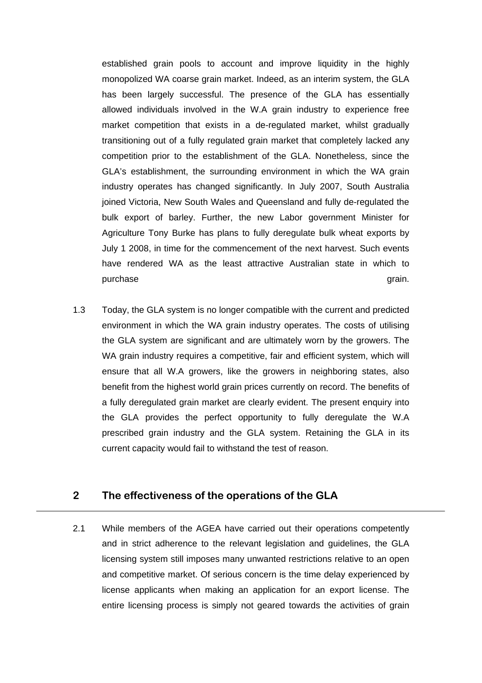established grain pools to account and improve liquidity in the highly monopolized WA coarse grain market. Indeed, as an interim system, the GLA has been largely successful. The presence of the GLA has essentially allowed individuals involved in the W.A grain industry to experience free market competition that exists in a de-regulated market, whilst gradually transitioning out of a fully regulated grain market that completely lacked any competition prior to the establishment of the GLA. Nonetheless, since the GLA's establishment, the surrounding environment in which the WA grain industry operates has changed significantly. In July 2007, South Australia joined Victoria, New South Wales and Queensland and fully de-regulated the bulk export of barley. Further, the new Labor government Minister for Agriculture Tony Burke has plans to fully deregulate bulk wheat exports by July 1 2008, in time for the commencement of the next harvest. Such events have rendered WA as the least attractive Australian state in which to purchase grain.

1.3 Today, the GLA system is no longer compatible with the current and predicted environment in which the WA grain industry operates. The costs of utilising the GLA system are significant and are ultimately worn by the growers. The WA grain industry requires a competitive, fair and efficient system, which will ensure that all W.A growers, like the growers in neighboring states, also benefit from the highest world grain prices currently on record. The benefits of a fully deregulated grain market are clearly evident. The present enquiry into the GLA provides the perfect opportunity to fully deregulate the W.A prescribed grain industry and the GLA system. Retaining the GLA in its current capacity would fail to withstand the test of reason.

### **2 The effectiveness of the operations of the GLA**

2.1 While members of the AGEA have carried out their operations competently and in strict adherence to the relevant legislation and guidelines, the GLA licensing system still imposes many unwanted restrictions relative to an open and competitive market. Of serious concern is the time delay experienced by license applicants when making an application for an export license. The entire licensing process is simply not geared towards the activities of grain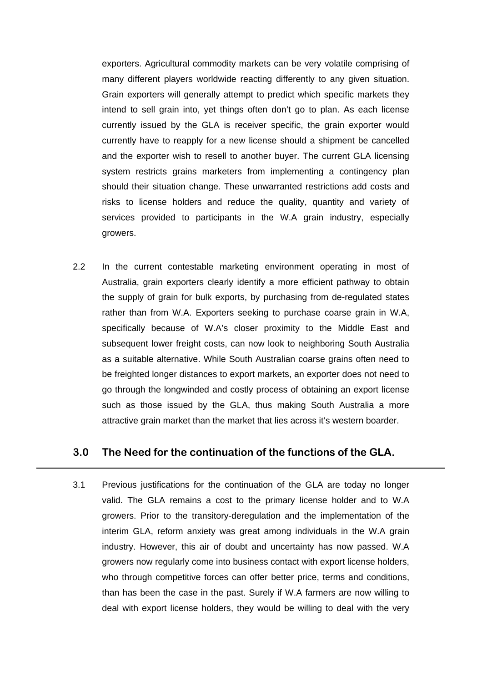exporters. Agricultural commodity markets can be very volatile comprising of many different players worldwide reacting differently to any given situation. Grain exporters will generally attempt to predict which specific markets they intend to sell grain into, yet things often don't go to plan. As each license currently issued by the GLA is receiver specific, the grain exporter would currently have to reapply for a new license should a shipment be cancelled and the exporter wish to resell to another buyer. The current GLA licensing system restricts grains marketers from implementing a contingency plan should their situation change. These unwarranted restrictions add costs and risks to license holders and reduce the quality, quantity and variety of services provided to participants in the W.A grain industry, especially growers.

2.2 In the current contestable marketing environment operating in most of Australia, grain exporters clearly identify a more efficient pathway to obtain the supply of grain for bulk exports, by purchasing from de-regulated states rather than from W.A. Exporters seeking to purchase coarse grain in W.A, specifically because of W.A's closer proximity to the Middle East and subsequent lower freight costs, can now look to neighboring South Australia as a suitable alternative. While South Australian coarse grains often need to be freighted longer distances to export markets, an exporter does not need to go through the longwinded and costly process of obtaining an export license such as those issued by the GLA, thus making South Australia a more attractive grain market than the market that lies across it's western boarder.

### **3.0 The Need for the continuation of the functions of the GLA.**

3.1 Previous justifications for the continuation of the GLA are today no longer valid. The GLA remains a cost to the primary license holder and to W.A growers. Prior to the transitory-deregulation and the implementation of the interim GLA, reform anxiety was great among individuals in the W.A grain industry. However, this air of doubt and uncertainty has now passed. W.A growers now regularly come into business contact with export license holders, who through competitive forces can offer better price, terms and conditions, than has been the case in the past. Surely if W.A farmers are now willing to deal with export license holders, they would be willing to deal with the very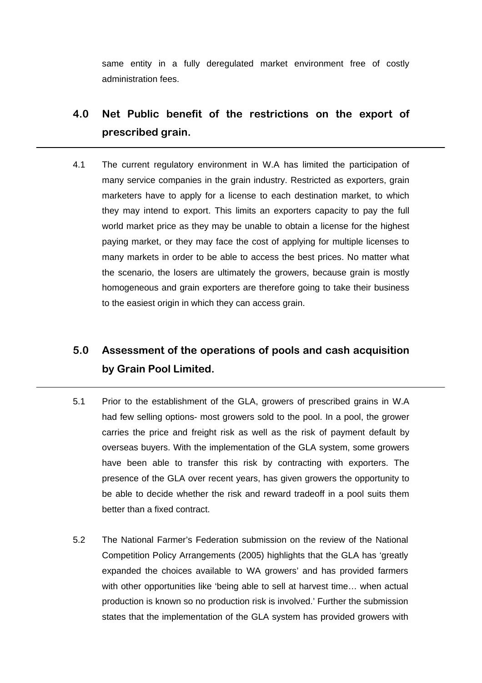same entity in a fully deregulated market environment free of costly administration fees.

# **4.0 Net Public benefit of the restrictions on the export of prescribed grain.**

4.1 The current regulatory environment in W.A has limited the participation of many service companies in the grain industry. Restricted as exporters, grain marketers have to apply for a license to each destination market, to which they may intend to export. This limits an exporters capacity to pay the full world market price as they may be unable to obtain a license for the highest paying market, or they may face the cost of applying for multiple licenses to many markets in order to be able to access the best prices. No matter what the scenario, the losers are ultimately the growers, because grain is mostly homogeneous and grain exporters are therefore going to take their business to the easiest origin in which they can access grain.

# **5.0 Assessment of the operations of pools and cash acquisition by Grain Pool Limited.**

- 5.1 Prior to the establishment of the GLA, growers of prescribed grains in W.A had few selling options- most growers sold to the pool. In a pool, the grower carries the price and freight risk as well as the risk of payment default by overseas buyers. With the implementation of the GLA system, some growers have been able to transfer this risk by contracting with exporters. The presence of the GLA over recent years, has given growers the opportunity to be able to decide whether the risk and reward tradeoff in a pool suits them better than a fixed contract.
- 5.2 The National Farmer's Federation submission on the review of the National Competition Policy Arrangements (2005) highlights that the GLA has 'greatly expanded the choices available to WA growers' and has provided farmers with other opportunities like 'being able to sell at harvest time… when actual production is known so no production risk is involved.' Further the submission states that the implementation of the GLA system has provided growers with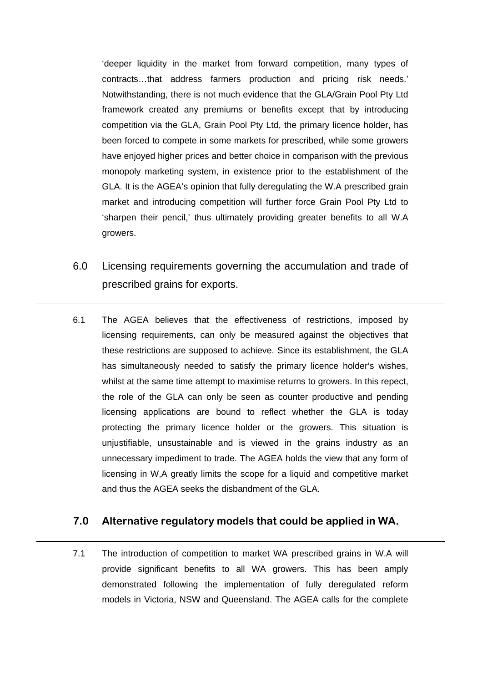'deeper liquidity in the market from forward competition, many types of contracts…that address farmers production and pricing risk needs.' Notwithstanding, there is not much evidence that the GLA/Grain Pool Pty Ltd framework created any premiums or benefits except that by introducing competition via the GLA, Grain Pool Pty Ltd, the primary licence holder, has been forced to compete in some markets for prescribed, while some growers have enjoyed higher prices and better choice in comparison with the previous monopoly marketing system, in existence prior to the establishment of the GLA. It is the AGEA's opinion that fully deregulating the W.A prescribed grain market and introducing competition will further force Grain Pool Pty Ltd to 'sharpen their pencil,' thus ultimately providing greater benefits to all W.A growers.

- 6.0 Licensing requirements governing the accumulation and trade of prescribed grains for exports.
- 6.1 The AGEA believes that the effectiveness of restrictions, imposed by licensing requirements, can only be measured against the objectives that these restrictions are supposed to achieve. Since its establishment, the GLA has simultaneously needed to satisfy the primary licence holder's wishes, whilst at the same time attempt to maximise returns to growers. In this repect, the role of the GLA can only be seen as counter productive and pending licensing applications are bound to reflect whether the GLA is today protecting the primary licence holder or the growers. This situation is unjustifiable, unsustainable and is viewed in the grains industry as an unnecessary impediment to trade. The AGEA holds the view that any form of licensing in W,A greatly limits the scope for a liquid and competitive market and thus the AGEA seeks the disbandment of the GLA.

### **7.0 Alternative regulatory models that could be applied in WA.**

7.1 The introduction of competition to market WA prescribed grains in W.A will provide significant benefits to all WA growers. This has been amply demonstrated following the implementation of fully deregulated reform models in Victoria, NSW and Queensland. The AGEA calls for the complete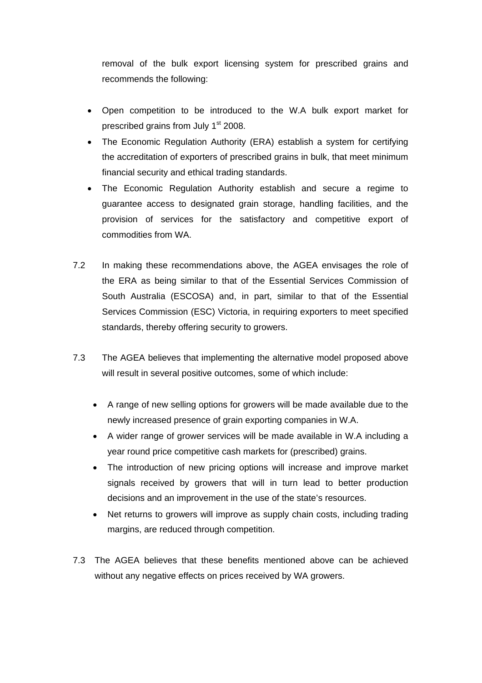removal of the bulk export licensing system for prescribed grains and recommends the following:

- Open competition to be introduced to the W.A bulk export market for prescribed grains from July 1<sup>st</sup> 2008.
- The Economic Regulation Authority (ERA) establish a system for certifying the accreditation of exporters of prescribed grains in bulk, that meet minimum financial security and ethical trading standards.
- The Economic Regulation Authority establish and secure a regime to guarantee access to designated grain storage, handling facilities, and the provision of services for the satisfactory and competitive export of commodities from WA.
- 7.2 In making these recommendations above, the AGEA envisages the role of the ERA as being similar to that of the Essential Services Commission of South Australia (ESCOSA) and, in part, similar to that of the Essential Services Commission (ESC) Victoria, in requiring exporters to meet specified standards, thereby offering security to growers.
- 7.3 The AGEA believes that implementing the alternative model proposed above will result in several positive outcomes, some of which include:
	- A range of new selling options for growers will be made available due to the newly increased presence of grain exporting companies in W.A.
	- A wider range of grower services will be made available in W.A including a year round price competitive cash markets for (prescribed) grains.
	- The introduction of new pricing options will increase and improve market signals received by growers that will in turn lead to better production decisions and an improvement in the use of the state's resources.
	- Net returns to growers will improve as supply chain costs, including trading margins, are reduced through competition.
- 7.3 The AGEA believes that these benefits mentioned above can be achieved without any negative effects on prices received by WA growers.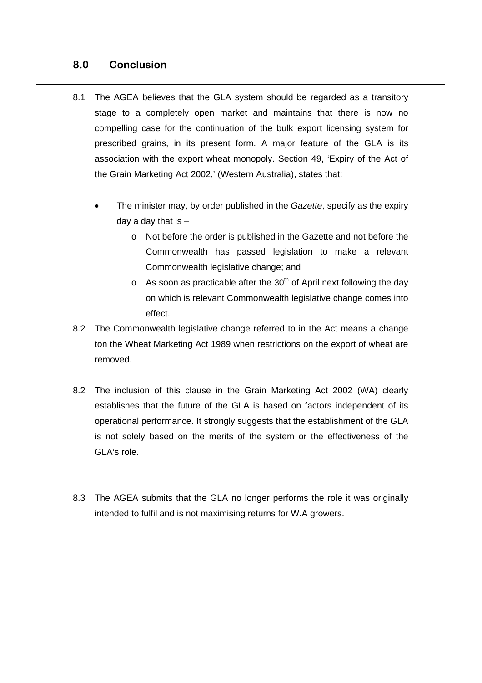### **8.0 Conclusion**

- 8.1 The AGEA believes that the GLA system should be regarded as a transitory stage to a completely open market and maintains that there is now no compelling case for the continuation of the bulk export licensing system for prescribed grains, in its present form. A major feature of the GLA is its association with the export wheat monopoly. Section 49, 'Expiry of the Act of the Grain Marketing Act 2002,' (Western Australia), states that:
	- The minister may, by order published in the *Gazette*, specify as the expiry day a day that is  $$ 
		- o Not before the order is published in the Gazette and not before the Commonwealth has passed legislation to make a relevant Commonwealth legislative change; and
		- $\circ$  As soon as practicable after the 30<sup>th</sup> of April next following the day on which is relevant Commonwealth legislative change comes into effect.
- 8.2 The Commonwealth legislative change referred to in the Act means a change ton the Wheat Marketing Act 1989 when restrictions on the export of wheat are removed.
- 8.2 The inclusion of this clause in the Grain Marketing Act 2002 (WA) clearly establishes that the future of the GLA is based on factors independent of its operational performance. It strongly suggests that the establishment of the GLA is not solely based on the merits of the system or the effectiveness of the GLA's role.
- 8.3 The AGEA submits that the GLA no longer performs the role it was originally intended to fulfil and is not maximising returns for W.A growers.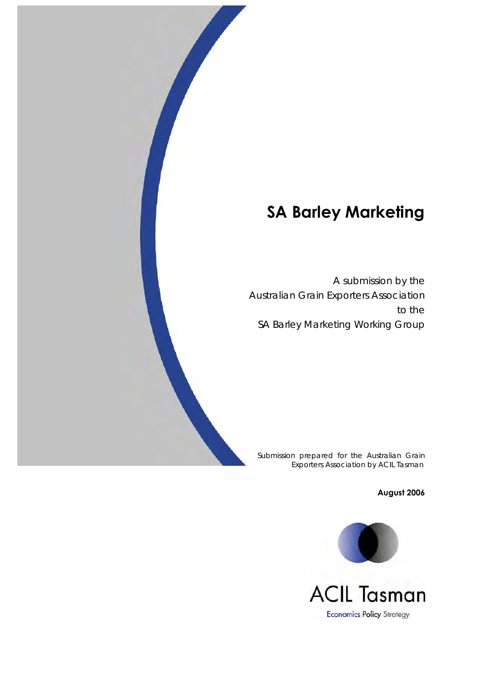A submission by the Australian Grain Exporters Association to the SA Barley Marketing Working Group

Submission prepared for the Australian Grain Exporters Association by ACIL Tasman

**August 2006**

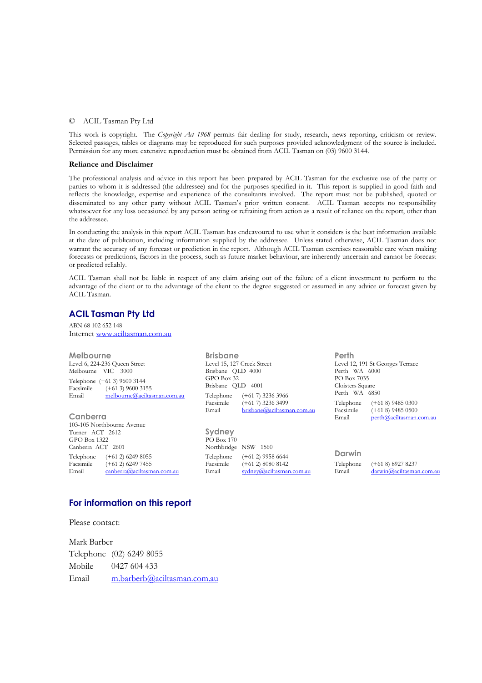### © ACIL Tasman Pty Ltd

This work is copyright. The *Copyright Act 1968* permits fair dealing for study, research, news reporting, criticism or review. Selected passages, tables or diagrams may be reproduced for such purposes provided acknowledgment of the source is included. Permission for any more extensive reproduction must be obtained from ACIL Tasman on (03) 9600 3144.

#### **Reliance and Disclaimer**

The professional analysis and advice in this report has been prepared by ACIL Tasman for the exclusive use of the party or parties to whom it is addressed (the addressee) and for the purposes specified in it. This report is supplied in good faith and reflects the knowledge, expertise and experience of the consultants involved. The report must not be published, quoted or disseminated to any other party without ACIL Tasman's prior written consent. ACIL Tasman accepts no responsibility whatsoever for any loss occasioned by any person acting or refraining from action as a result of reliance on the report, other than the addressee.

In conducting the analysis in this report ACIL Tasman has endeavoured to use what it considers is the best information available at the date of publication, including information supplied by the addressee. Unless stated otherwise, ACIL Tasman does not warrant the accuracy of any forecast or prediction in the report. Although ACIL Tasman exercises reasonable care when making forecasts or predictions, factors in the process, such as future market behaviour, are inherently uncertain and cannot be forecast or predicted reliably.

ACIL Tasman shall not be liable in respect of any claim arising out of the failure of a client investment to perform to the advantage of the client or to the advantage of the client to the degree suggested or assumed in any advice or forecast given by ACIL Tasman.

### **ACIL Tasman Pty Ltd**

ABN 68 102 652 148 Internet www.aciltasman.com.au

| Melbourne                            | <b>Brisbane</b>                 |                            | Perth                            |                          |  |
|--------------------------------------|---------------------------------|----------------------------|----------------------------------|--------------------------|--|
| Level 6, 224-236 Queen Street        | Level 15, 127 Creek Street      |                            | Level 12, 191 St Georges Terrace |                          |  |
| Melbourne VIC 3000                   | Brisbane QLD 4000               |                            | Perth WA 6000                    |                          |  |
| Telephone (+61 3) 9600 3144          | GPO Box 32<br>Brisbane QLD 4001 |                            | PO Box 7035<br>Cloisters Square  |                          |  |
| Facsimile<br>$(+613)$ 9600 3155      |                                 |                            |                                  |                          |  |
| Email<br>melbourne@aciltasman.com.au | Telephone                       | $(+617)$ 3236 3966         | Perth WA 6850                    |                          |  |
|                                      | Facsimile                       | $(+617)$ 3236 3499         | Telephone                        | $(+618)$ 9485 0300       |  |
|                                      | Email                           | brisbane@aciltasman.com.au | Facsimile                        | $(+618)$ 9485 0500       |  |
| Canberra                             |                                 |                            | Email                            | perta@aciltasman.com.au  |  |
| 103-105 Northbourne Avenue           |                                 |                            |                                  |                          |  |
| Turner ACT 2612                      | Sydney                          |                            |                                  |                          |  |
| GPO Box 1322                         | PO Box 170                      |                            |                                  |                          |  |
| Canberra ACT 2601                    |                                 | Northbridge NSW 1560       |                                  |                          |  |
| Telephone<br>$(+612)$ 6249 8055      | Telephone                       | $(+612)$ 9958 6644         | Darwin                           |                          |  |
| Facsimile<br>$(+612)$ 6249 7455      | Facsimile                       | $(+612)$ 8080 8142         | Telephone                        | $(+618)89278237$         |  |
| Email<br>canberra@aciltasman.com.au  | Email                           | sydney@aciltasman.com.au   | Email                            | darwin@aciltasman.com.au |  |

### **For information on this report**

Please contact:

Mark Barber Telephone (02) 6249 8055 Mobile 0427 604 433 Email m.barberb@aciltasman.com.au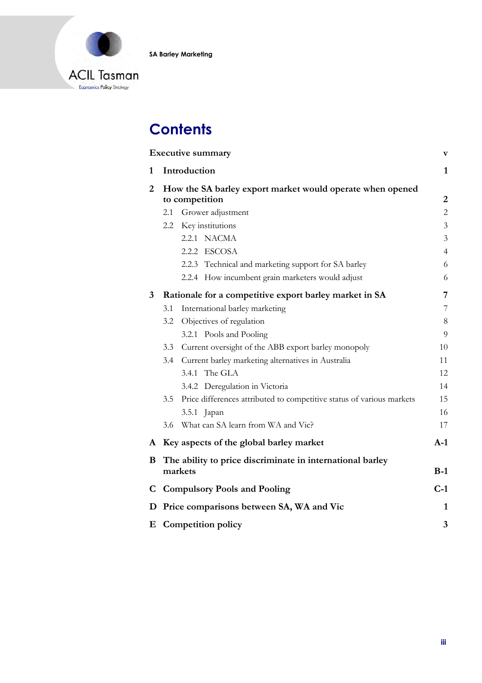



# **Contents**

|                | <b>Executive summary</b><br>$\boldsymbol{\mathrm{v}}$                       |                                                                       |                |  |
|----------------|-----------------------------------------------------------------------------|-----------------------------------------------------------------------|----------------|--|
| 1              |                                                                             | Introduction                                                          | $\mathbf{1}$   |  |
| $\overline{2}$ | How the SA barley export market would operate when opened<br>to competition |                                                                       |                |  |
|                | 2.1                                                                         | Grower adjustment                                                     | $\overline{c}$ |  |
|                |                                                                             | 2.2 Key institutions                                                  | 3              |  |
|                |                                                                             | 2.2.1 NACMA                                                           | 3              |  |
|                |                                                                             | 2.2.2 ESCOSA                                                          | $\overline{4}$ |  |
|                |                                                                             | 2.2.3 Technical and marketing support for SA barley                   | 6              |  |
|                |                                                                             | 2.2.4 How incumbent grain marketers would adjust                      | 6              |  |
| $3^{\circ}$    |                                                                             | Rationale for a competitive export barley market in SA                | 7              |  |
|                | 3.1                                                                         | International barley marketing                                        | 7              |  |
|                | 3.2                                                                         | Objectives of regulation                                              | 8              |  |
|                |                                                                             | 3.2.1 Pools and Pooling                                               | 9              |  |
|                |                                                                             | 3.3 Current oversight of the ABB export barley monopoly               | 10             |  |
|                |                                                                             | 3.4 Current barley marketing alternatives in Australia                | 11             |  |
|                |                                                                             | 3.4.1 The GLA                                                         | 12             |  |
|                |                                                                             | 3.4.2 Deregulation in Victoria                                        | 14             |  |
|                | 3.5                                                                         | Price differences attributed to competitive status of various markets | 15             |  |
|                |                                                                             | 3.5.1 Japan                                                           | 16             |  |
|                | 3.6                                                                         | What can SA learn from WA and Vic?                                    | 17             |  |
| A              |                                                                             | Key aspects of the global barley market                               | $A-1$          |  |
| B              |                                                                             | The ability to price discriminate in international barley<br>markets  | $B-1$          |  |
| C              |                                                                             | <b>Compulsory Pools and Pooling</b>                                   | $C-1$          |  |
| D              |                                                                             | Price comparisons between SA, WA and Vic                              | $\mathbf{1}$   |  |
| Ε              |                                                                             | <b>Competition policy</b>                                             | 3              |  |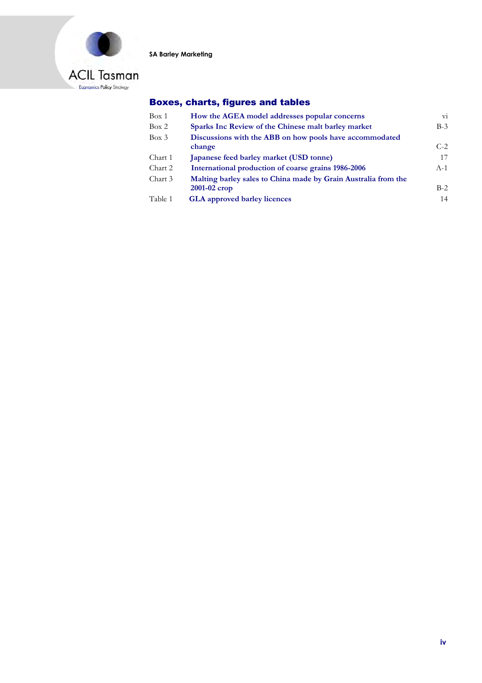

### Boxes, charts, figures and tables

| Box 1   | How the AGEA model addresses popular concerns                                    | $\overline{\mathrm{vi}}$ |
|---------|----------------------------------------------------------------------------------|--------------------------|
| Box 2   | Sparks Inc Review of the Chinese malt barley market                              | $B-3$                    |
| Box 3   | Discussions with the ABB on how pools have accommodated<br>change                | $C-2$                    |
| Chart 1 | Japanese feed barley market (USD tonne)                                          | 17                       |
| Chart 2 | International production of coarse grains 1986-2006                              | $A-1$                    |
| Chart 3 | Malting barley sales to China made by Grain Australia from the<br>$2001-02$ crop | $B-2$                    |
| Table 1 | <b>GLA</b> approved barley licences                                              | 14                       |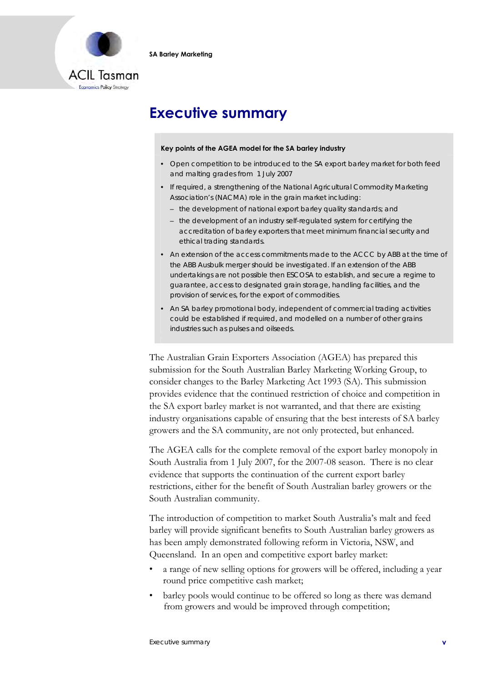

# **Executive summary**

#### **Key points of the AGEA model for the SA barley industry**

- Open competition to be introduced to the SA export barley market for both feed and malting grades from 1 July 2007
- If required, a strengthening of the National Agricultural Commodity Marketing Association's (NACMA) role in the grain market including:
	- the development of national export barley quality standards; and
	- the development of an industry self-regulated system for certifying the accreditation of barley exporters that meet minimum financial security and ethical trading standards.
- An extension of the access commitments made to the ACCC by ABB at the time of the ABB Ausbulk merger should be investigated. If an extension of the ABB undertakings are not possible then ESCOSA to establish, and secure a regime to guarantee, access to designated grain storage, handling facilities, and the provision of services, for the export of commodities.
- An SA barley promotional body, independent of commercial trading activities could be established if required, and modelled on a number of other grains industries such as pulses and oilseeds.

The Australian Grain Exporters Association (AGEA) has prepared this submission for the South Australian Barley Marketing Working Group, to consider changes to the Barley Marketing Act 1993 (SA). This submission provides evidence that the continued restriction of choice and competition in the SA export barley market is not warranted, and that there are existing industry organisations capable of ensuring that the best interests of SA barley growers and the SA community, are not only protected, but enhanced.

The AGEA calls for the complete removal of the export barley monopoly in South Australia from 1 July 2007, for the 2007-08 season. There is no clear evidence that supports the continuation of the current export barley restrictions, either for the benefit of South Australian barley growers or the South Australian community.

The introduction of competition to market South Australia's malt and feed barley will provide significant benefits to South Australian barley growers as has been amply demonstrated following reform in Victoria, NSW, and Queensland. In an open and competitive export barley market:

- a range of new selling options for growers will be offered, including a year round price competitive cash market;
- barley pools would continue to be offered so long as there was demand from growers and would be improved through competition;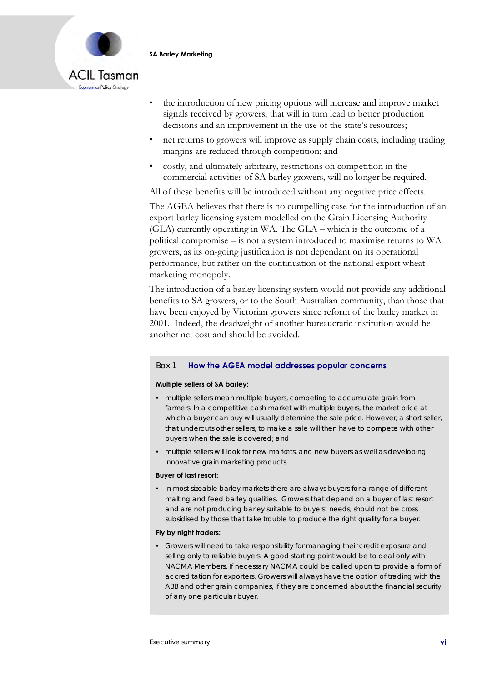

- the introduction of new pricing options will increase and improve market signals received by growers, that will in turn lead to better production decisions and an improvement in the use of the state's resources;
- net returns to growers will improve as supply chain costs, including trading margins are reduced through competition; and
- costly, and ultimately arbitrary, restrictions on competition in the commercial activities of SA barley growers, will no longer be required.

All of these benefits will be introduced without any negative price effects.

The AGEA believes that there is no compelling case for the introduction of an export barley licensing system modelled on the Grain Licensing Authority (GLA) currently operating in WA. The GLA – which is the outcome of a political compromise – is not a system introduced to maximise returns to WA growers, as its on-going justification is not dependant on its operational performance, but rather on the continuation of the national export wheat marketing monopoly.

The introduction of a barley licensing system would not provide any additional benefits to SA growers, or to the South Australian community, than those that have been enjoyed by Victorian growers since reform of the barley market in 2001. Indeed, the deadweight of another bureaucratic institution would be another net cost and should be avoided.

### Box 1 **How the AGEA model addresses popular concerns**

#### **Multiple sellers of SA barley:**

- multiple sellers mean multiple buyers, competing to accumulate grain from farmers. In a competitive cash market with multiple buyers, the market price at which a buyer can buy will usually determine the sale price. However, a short seller, that undercuts other sellers, to make a sale will then have to compete with other buyers when the sale is covered; and
- multiple sellers will look for new markets, and new buyers as well as developing innovative grain marketing products.

#### **Buyer of last resort:**

• In most sizeable barley markets there are always buyers for a range of different malting and feed barley qualities. Growers that depend on a buyer of last resort and are not producing barley suitable to buyers' needs, should not be cross subsidised by those that take trouble to produce the right quality for a buyer.

#### **Fly by night traders:**

• Growers will need to take responsibility for managing their credit exposure and selling only to reliable buyers. A good starting point would be to deal only with NACMA Members. If necessary NACMA could be called upon to provide a form of accreditation for exporters. Growers will always have the option of trading with the ABB and other grain companies, if they are concerned about the financial security of any one particular buyer.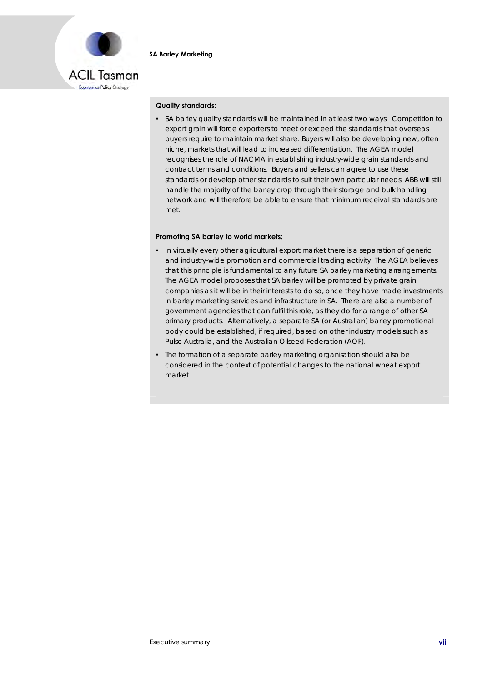

#### **Quality standards:**

• SA barley quality standards will be maintained in at least two ways. Competition to export grain will force exporters to meet or exceed the standards that overseas buyers require to maintain market share. Buyers will also be developing new, often niche, markets that will lead to increased differentiation. The AGEA model recognises the role of NACMA in establishing industry-wide grain standards and contract terms and conditions. Buyers and sellers can agree to use these standards or develop other standards to suit their own particular needs. ABB will still handle the majority of the barley crop through their storage and bulk handling network and will therefore be able to ensure that minimum receival standards are met.

#### **Promoting SA barley to world markets:**

- In virtually every other agricultural export market there is a separation of generic and industry-wide promotion and commercial trading activity. The AGEA believes that this principle is fundamental to any future SA barley marketing arrangements. The AGEA model proposes that SA barley will be promoted by private grain companies as it will be in their interests to do so, once they have made investments in barley marketing services and infrastructure in SA. There are also a number of government agencies that can fulfil this role, as they do for a range of other SA primary products. Alternatively, a separate SA (or Australian) barley promotional body could be established, if required, based on other industry models such as Pulse Australia, and the Australian Oilseed Federation (AOF).
- The formation of a separate barley marketing organisation should also be considered in the context of potential changes to the national wheat export market.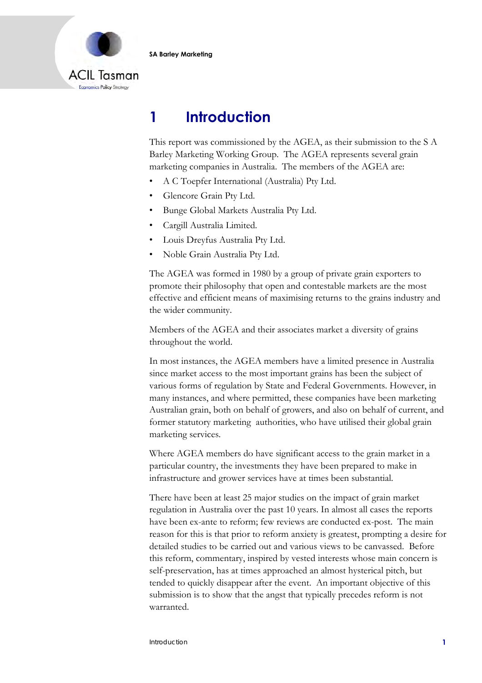

# **1 Introduction**

This report was commissioned by the AGEA, as their submission to the S A Barley Marketing Working Group. The AGEA represents several grain marketing companies in Australia. The members of the AGEA are:

- A C Toepfer International (Australia) Pty Ltd.
- Glencore Grain Pty Ltd.
- Bunge Global Markets Australia Pty Ltd.
- Cargill Australia Limited.
- Louis Dreyfus Australia Pty Ltd.
- Noble Grain Australia Pty Ltd.

The AGEA was formed in 1980 by a group of private grain exporters to promote their philosophy that open and contestable markets are the most effective and efficient means of maximising returns to the grains industry and the wider community.

Members of the AGEA and their associates market a diversity of grains throughout the world.

In most instances, the AGEA members have a limited presence in Australia since market access to the most important grains has been the subject of various forms of regulation by State and Federal Governments. However, in many instances, and where permitted, these companies have been marketing Australian grain, both on behalf of growers, and also on behalf of current, and former statutory marketing authorities, who have utilised their global grain marketing services.

Where AGEA members do have significant access to the grain market in a particular country, the investments they have been prepared to make in infrastructure and grower services have at times been substantial.

There have been at least 25 major studies on the impact of grain market regulation in Australia over the past 10 years. In almost all cases the reports have been ex-ante to reform; few reviews are conducted ex-post. The main reason for this is that prior to reform anxiety is greatest, prompting a desire for detailed studies to be carried out and various views to be canvassed. Before this reform, commentary, inspired by vested interests whose main concern is self-preservation, has at times approached an almost hysterical pitch, but tended to quickly disappear after the event. An important objective of this submission is to show that the angst that typically precedes reform is not warranted.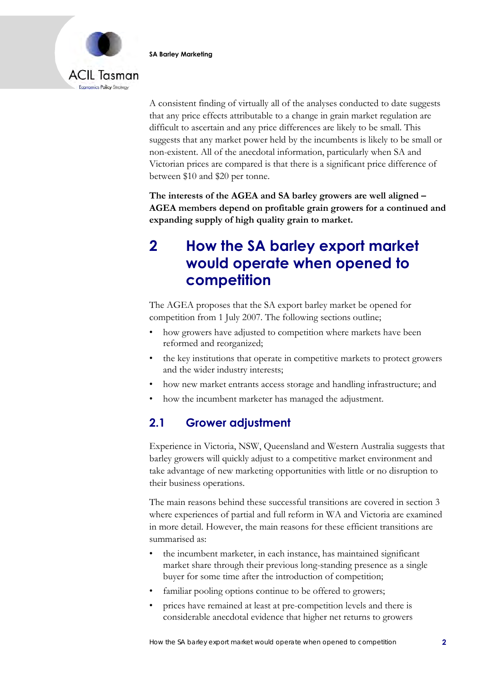



A consistent finding of virtually all of the analyses conducted to date suggests that any price effects attributable to a change in grain market regulation are difficult to ascertain and any price differences are likely to be small. This suggests that any market power held by the incumbents is likely to be small or non-existent. All of the anecdotal information, particularly when SA and Victorian prices are compared is that there is a significant price difference of between \$10 and \$20 per tonne.

**The interests of the AGEA and SA barley growers are well aligned – AGEA members depend on profitable grain growers for a continued and expanding supply of high quality grain to market.** 

# **2 How the SA barley export market would operate when opened to competition**

The AGEA proposes that the SA export barley market be opened for competition from 1 July 2007. The following sections outline;

- how growers have adjusted to competition where markets have been reformed and reorganized;
- the key institutions that operate in competitive markets to protect growers and the wider industry interests;
- how new market entrants access storage and handling infrastructure; and
- how the incumbent marketer has managed the adjustment.

## **2.1 Grower adjustment**

Experience in Victoria, NSW, Queensland and Western Australia suggests that barley growers will quickly adjust to a competitive market environment and take advantage of new marketing opportunities with little or no disruption to their business operations.

The main reasons behind these successful transitions are covered in section 3 where experiences of partial and full reform in WA and Victoria are examined in more detail. However, the main reasons for these efficient transitions are summarised as:

- the incumbent marketer, in each instance, has maintained significant market share through their previous long-standing presence as a single buyer for some time after the introduction of competition;
- familiar pooling options continue to be offered to growers;
- prices have remained at least at pre-competition levels and there is considerable anecdotal evidence that higher net returns to growers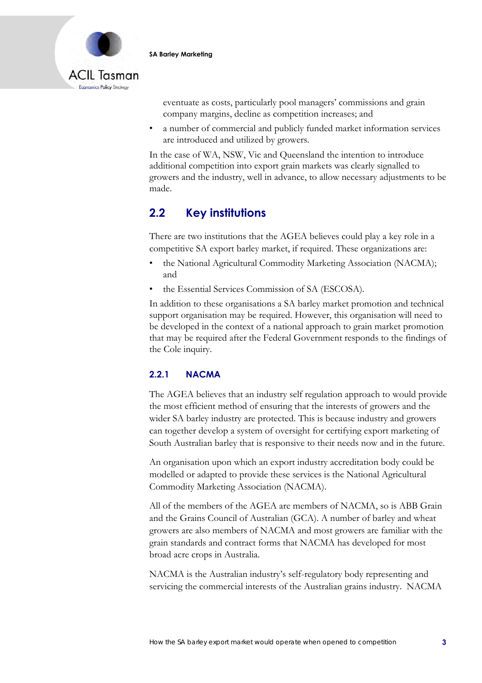

eventuate as costs, particularly pool managers' commissions and grain company margins, decline as competition increases; and

• a number of commercial and publicly funded market information services are introduced and utilized by growers.

In the case of WA, NSW, Vic and Queensland the intention to introduce additional competition into export grain markets was clearly signalled to growers and the industry, well in advance, to allow necessary adjustments to be made.

## **2.2 Key institutions**

There are two institutions that the AGEA believes could play a key role in a competitive SA export barley market, if required. These organizations are:

- the National Agricultural Commodity Marketing Association (NACMA); and
- the Essential Services Commission of SA (ESCOSA).

In addition to these organisations a SA barley market promotion and technical support organisation may be required. However, this organisation will need to be developed in the context of a national approach to grain market promotion that may be required after the Federal Government responds to the findings of the Cole inquiry.

### **2.2.1 NACMA**

The AGEA believes that an industry self regulation approach to would provide the most efficient method of ensuring that the interests of growers and the wider SA barley industry are protected. This is because industry and growers can together develop a system of oversight for certifying export marketing of South Australian barley that is responsive to their needs now and in the future.

An organisation upon which an export industry accreditation body could be modelled or adapted to provide these services is the National Agricultural Commodity Marketing Association (NACMA).

All of the members of the AGEA are members of NACMA, so is ABB Grain and the Grains Council of Australian (GCA). A number of barley and wheat growers are also members of NACMA and most growers are familiar with the grain standards and contract forms that NACMA has developed for most broad acre crops in Australia.

NACMA is the Australian industry's self-regulatory body representing and servicing the commercial interests of the Australian grains industry. NACMA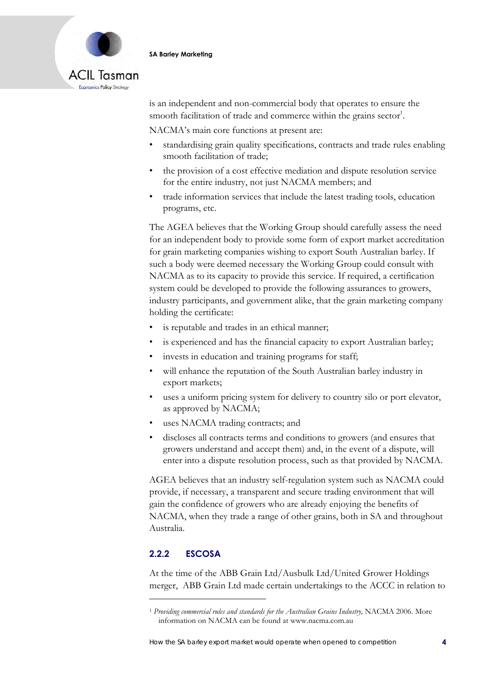

is an independent and non-commercial body that operates to ensure the smooth facilitation of trade and commerce within the grains sector<sup>1</sup>.

NACMA's main core functions at present are:

- standardising grain quality specifications, contracts and trade rules enabling smooth facilitation of trade;
- the provision of a cost effective mediation and dispute resolution service for the entire industry, not just NACMA members; and
- trade information services that include the latest trading tools, education programs, etc.

The AGEA believes that the Working Group should carefully assess the need for an independent body to provide some form of export market accreditation for grain marketing companies wishing to export South Australian barley. If such a body were deemed necessary the Working Group could consult with NACMA as to its capacity to provide this service. If required, a certification system could be developed to provide the following assurances to growers, industry participants, and government alike, that the grain marketing company holding the certificate:

- is reputable and trades in an ethical manner;
- is experienced and has the financial capacity to export Australian barley;
- invests in education and training programs for staff;
- will enhance the reputation of the South Australian barley industry in export markets;
- uses a uniform pricing system for delivery to country silo or port elevator, as approved by NACMA;
- uses NACMA trading contracts; and
- discloses all contracts terms and conditions to growers (and ensures that growers understand and accept them) and, in the event of a dispute, will enter into a dispute resolution process, such as that provided by NACMA.

AGEA believes that an industry self-regulation system such as NACMA could provide, if necessary, a transparent and secure trading environment that will gain the confidence of growers who are already enjoying the benefits of NACMA, when they trade a range of other grains, both in SA and throughout Australia.

### **2.2.2 ESCOSA**

At the time of the ABB Grain Ltd/Ausbulk Ltd/United Grower Holdings merger, ABB Grain Ltd made certain undertakings to the ACCC in relation to

<sup>&</sup>lt;sup>1</sup> Providing commercial rules and standards for the Australian Grains Industry, NACMA 2006. More information on NACMA can be found at www.nacma.com.au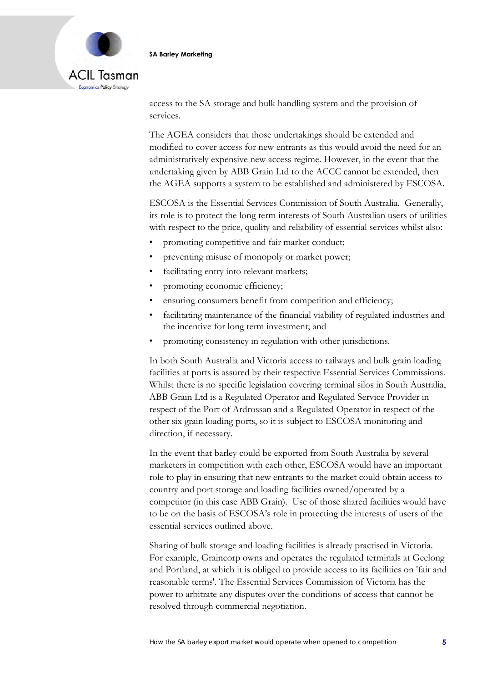

access to the SA storage and bulk handling system and the provision of services.

The AGEA considers that those undertakings should be extended and modified to cover access for new entrants as this would avoid the need for an administratively expensive new access regime. However, in the event that the undertaking given by ABB Grain Ltd to the ACCC cannot be extended, then the AGEA supports a system to be established and administered by ESCOSA.

ESCOSA is the Essential Services Commission of South Australia. Generally, its role is to protect the long term interests of South Australian users of utilities with respect to the price, quality and reliability of essential services whilst also:

- promoting competitive and fair market conduct;
- preventing misuse of monopoly or market power;
- facilitating entry into relevant markets;
- promoting economic efficiency;
- ensuring consumers benefit from competition and efficiency;
- facilitating maintenance of the financial viability of regulated industries and the incentive for long term investment; and
- promoting consistency in regulation with other jurisdictions.

In both South Australia and Victoria access to railways and bulk grain loading facilities at ports is assured by their respective Essential Services Commissions. Whilst there is no specific legislation covering terminal silos in South Australia, ABB Grain Ltd is a Regulated Operator and Regulated Service Provider in respect of the Port of Ardrossan and a Regulated Operator in respect of the other six grain loading ports, so it is subject to ESCOSA monitoring and direction, if necessary.

In the event that barley could be exported from South Australia by several marketers in competition with each other, ESCOSA would have an important role to play in ensuring that new entrants to the market could obtain access to country and port storage and loading facilities owned/operated by a competitor (in this case ABB Grain). Use of those shared facilities would have to be on the basis of ESCOSA's role in protecting the interests of users of the essential services outlined above.

Sharing of bulk storage and loading facilities is already practised in Victoria. For example, Graincorp owns and operates the regulated terminals at Geelong and Portland, at which it is obliged to provide access to its facilities on 'fair and reasonable terms'. The Essential Services Commission of Victoria has the power to arbitrate any disputes over the conditions of access that cannot be resolved through commercial negotiation.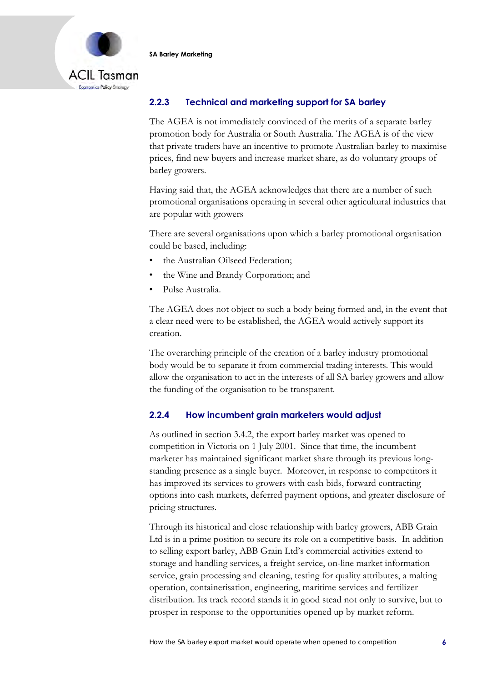

### **2.2.3 Technical and marketing support for SA barley**

The AGEA is not immediately convinced of the merits of a separate barley promotion body for Australia or South Australia. The AGEA is of the view that private traders have an incentive to promote Australian barley to maximise prices, find new buyers and increase market share, as do voluntary groups of barley growers.

Having said that, the AGEA acknowledges that there are a number of such promotional organisations operating in several other agricultural industries that are popular with growers

There are several organisations upon which a barley promotional organisation could be based, including:

- the Australian Oilseed Federation;
- the Wine and Brandy Corporation; and
- Pulse Australia.

The AGEA does not object to such a body being formed and, in the event that a clear need were to be established, the AGEA would actively support its creation.

The overarching principle of the creation of a barley industry promotional body would be to separate it from commercial trading interests. This would allow the organisation to act in the interests of all SA barley growers and allow the funding of the organisation to be transparent.

### **2.2.4 How incumbent grain marketers would adjust**

As outlined in section 3.4.2, the export barley market was opened to competition in Victoria on 1 July 2001. Since that time, the incumbent marketer has maintained significant market share through its previous longstanding presence as a single buyer. Moreover, in response to competitors it has improved its services to growers with cash bids, forward contracting options into cash markets, deferred payment options, and greater disclosure of pricing structures.

Through its historical and close relationship with barley growers, ABB Grain Ltd is in a prime position to secure its role on a competitive basis. In addition to selling export barley, ABB Grain Ltd's commercial activities extend to storage and handling services, a freight service, on-line market information service, grain processing and cleaning, testing for quality attributes, a malting operation, containerisation, engineering, maritime services and fertilizer distribution. Its track record stands it in good stead not only to survive, but to prosper in response to the opportunities opened up by market reform.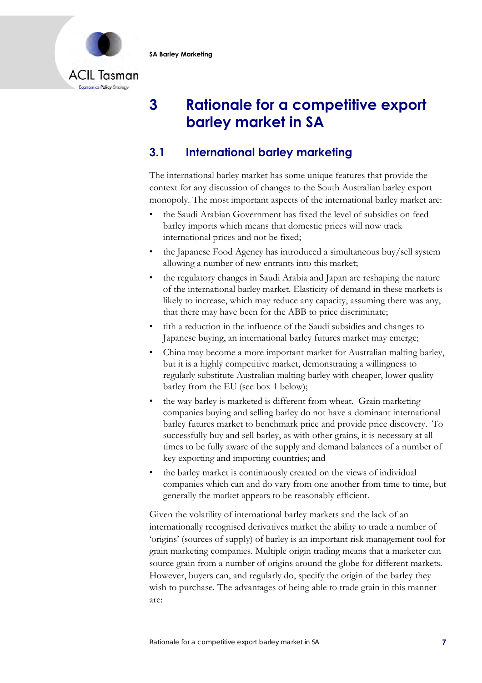

# **3 Rationale for a competitive export barley market in SA**

# **3.1 International barley marketing**

The international barley market has some unique features that provide the context for any discussion of changes to the South Australian barley export monopoly. The most important aspects of the international barley market are:

- the Saudi Arabian Government has fixed the level of subsidies on feed barley imports which means that domestic prices will now track international prices and not be fixed;
- the Japanese Food Agency has introduced a simultaneous buy/sell system allowing a number of new entrants into this market;
- the regulatory changes in Saudi Arabia and Japan are reshaping the nature of the international barley market. Elasticity of demand in these markets is likely to increase, which may reduce any capacity, assuming there was any, that there may have been for the ABB to price discriminate;
- tith a reduction in the influence of the Saudi subsidies and changes to Japanese buying, an international barley futures market may emerge;
- China may become a more important market for Australian malting barley, but it is a highly competitive market, demonstrating a willingness to regularly substitute Australian malting barley with cheaper, lower quality barley from the EU (see box 1 below);
- the way barley is marketed is different from wheat. Grain marketing companies buying and selling barley do not have a dominant international barley futures market to benchmark price and provide price discovery. To successfully buy and sell barley, as with other grains, it is necessary at all times to be fully aware of the supply and demand balances of a number of key exporting and importing countries; and
- the barley market is continuously created on the views of individual companies which can and do vary from one another from time to time, but generally the market appears to be reasonably efficient.

Given the volatility of international barley markets and the lack of an internationally recognised derivatives market the ability to trade a number of 'origins' (sources of supply) of barley is an important risk management tool for grain marketing companies. Multiple origin trading means that a marketer can source grain from a number of origins around the globe for different markets. However, buyers can, and regularly do, specify the origin of the barley they wish to purchase. The advantages of being able to trade grain in this manner are: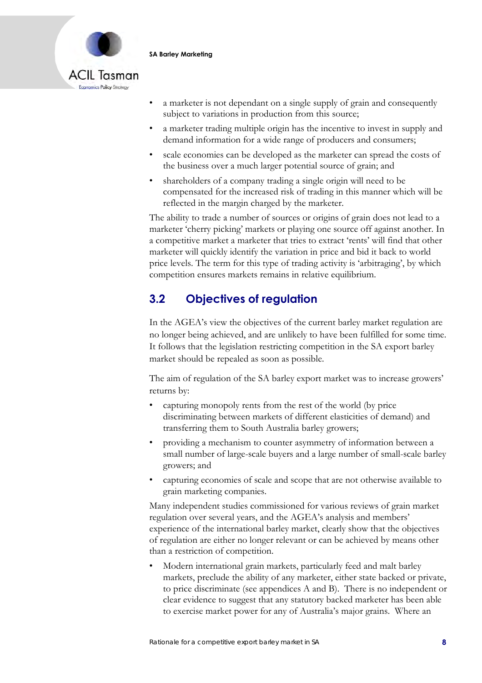



- a marketer is not dependant on a single supply of grain and consequently subject to variations in production from this source;
- a marketer trading multiple origin has the incentive to invest in supply and demand information for a wide range of producers and consumers;
- scale economies can be developed as the marketer can spread the costs of the business over a much larger potential source of grain; and
- shareholders of a company trading a single origin will need to be compensated for the increased risk of trading in this manner which will be reflected in the margin charged by the marketer.

The ability to trade a number of sources or origins of grain does not lead to a marketer 'cherry picking' markets or playing one source off against another. In a competitive market a marketer that tries to extract 'rents' will find that other marketer will quickly identify the variation in price and bid it back to world price levels. The term for this type of trading activity is 'arbitraging', by which competition ensures markets remains in relative equilibrium.

# **3.2 Objectives of regulation**

In the AGEA's view the objectives of the current barley market regulation are no longer being achieved, and are unlikely to have been fulfilled for some time. It follows that the legislation restricting competition in the SA export barley market should be repealed as soon as possible.

The aim of regulation of the SA barley export market was to increase growers' returns by:

- capturing monopoly rents from the rest of the world (by price discriminating between markets of different elasticities of demand) and transferring them to South Australia barley growers;
- providing a mechanism to counter asymmetry of information between a small number of large-scale buyers and a large number of small-scale barley growers; and
- capturing economies of scale and scope that are not otherwise available to grain marketing companies.

Many independent studies commissioned for various reviews of grain market regulation over several years, and the AGEA's analysis and members' experience of the international barley market, clearly show that the objectives of regulation are either no longer relevant or can be achieved by means other than a restriction of competition.

• Modern international grain markets, particularly feed and malt barley markets, preclude the ability of any marketer, either state backed or private, to price discriminate (see appendices A and B). There is no independent or clear evidence to suggest that any statutory backed marketer has been able to exercise market power for any of Australia's major grains. Where an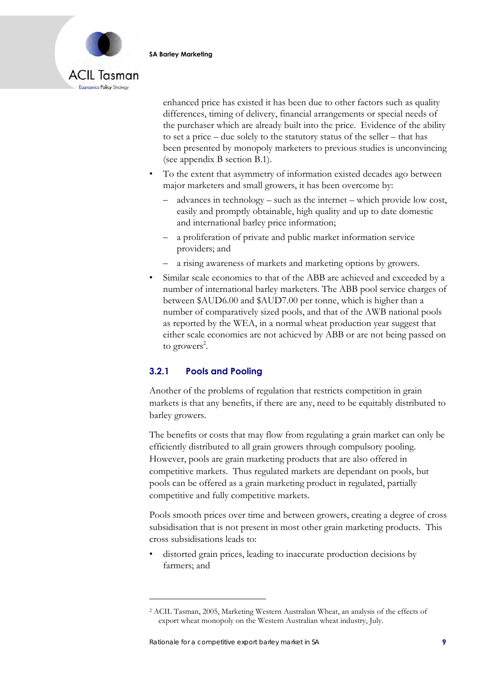

enhanced price has existed it has been due to other factors such as quality differences, timing of delivery, financial arrangements or special needs of the purchaser which are already built into the price. Evidence of the ability to set a price – due solely to the statutory status of the seller – that has been presented by monopoly marketers to previous studies is unconvincing (see appendix B section B.1).

- To the extent that asymmetry of information existed decades ago between major marketers and small growers, it has been overcome by:
	- advances in technology such as the internet which provide low cost, easily and promptly obtainable, high quality and up to date domestic and international barley price information;
	- a proliferation of private and public market information service providers; and
	- a rising awareness of markets and marketing options by growers.
- Similar scale economies to that of the ABB are achieved and exceeded by a number of international barley marketers. The ABB pool service charges of between \$AUD6.00 and \$AUD7.00 per tonne, which is higher than a number of comparatively sized pools, and that of the AWB national pools as reported by the WEA, in a normal wheat production year suggest that either scale economies are not achieved by ABB or are not being passed on to growers<sup>2</sup>.

### **3.2.1 Pools and Pooling**

Another of the problems of regulation that restricts competition in grain markets is that any benefits, if there are any, need to be equitably distributed to barley growers.

The benefits or costs that may flow from regulating a grain market can only be efficiently distributed to all grain growers through compulsory pooling. However, pools are grain marketing products that are also offered in competitive markets. Thus regulated markets are dependant on pools, but pools can be offered as a grain marketing product in regulated, partially competitive and fully competitive markets.

Pools smooth prices over time and between growers, creating a degree of cross subsidisation that is not present in most other grain marketing products. This cross subsidisations leads to:

• distorted grain prices, leading to inaccurate production decisions by farmers; and

<sup>2</sup> ACIL Tasman, 2005, Marketing Western Australian Wheat, an analysis of the effects of export wheat monopoly on the Western Australian wheat industry, July.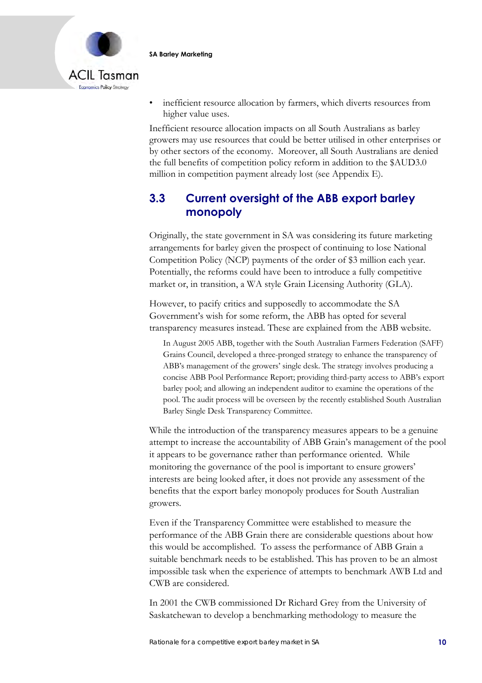



• inefficient resource allocation by farmers, which diverts resources from higher value uses.

Inefficient resource allocation impacts on all South Australians as barley growers may use resources that could be better utilised in other enterprises or by other sectors of the economy. Moreover, all South Australians are denied the full benefits of competition policy reform in addition to the \$AUD3.0 million in competition payment already lost (see Appendix E).

## **3.3 Current oversight of the ABB export barley monopoly**

Originally, the state government in SA was considering its future marketing arrangements for barley given the prospect of continuing to lose National Competition Policy (NCP) payments of the order of \$3 million each year. Potentially, the reforms could have been to introduce a fully competitive market or, in transition, a WA style Grain Licensing Authority (GLA).

However, to pacify critics and supposedly to accommodate the SA Government's wish for some reform, the ABB has opted for several transparency measures instead. These are explained from the ABB website.

In August 2005 ABB, together with the South Australian Farmers Federation (SAFF) Grains Council, developed a three-pronged strategy to enhance the transparency of ABB's management of the growers' single desk. The strategy involves producing a concise ABB Pool Performance Report; providing third-party access to ABB's export barley pool; and allowing an independent auditor to examine the operations of the pool. The audit process will be overseen by the recently established South Australian Barley Single Desk Transparency Committee.

While the introduction of the transparency measures appears to be a genuine attempt to increase the accountability of ABB Grain's management of the pool it appears to be governance rather than performance oriented. While monitoring the governance of the pool is important to ensure growers' interests are being looked after, it does not provide any assessment of the benefits that the export barley monopoly produces for South Australian growers.

Even if the Transparency Committee were established to measure the performance of the ABB Grain there are considerable questions about how this would be accomplished. To assess the performance of ABB Grain a suitable benchmark needs to be established. This has proven to be an almost impossible task when the experience of attempts to benchmark AWB Ltd and CWB are considered.

In 2001 the CWB commissioned Dr Richard Grey from the University of Saskatchewan to develop a benchmarking methodology to measure the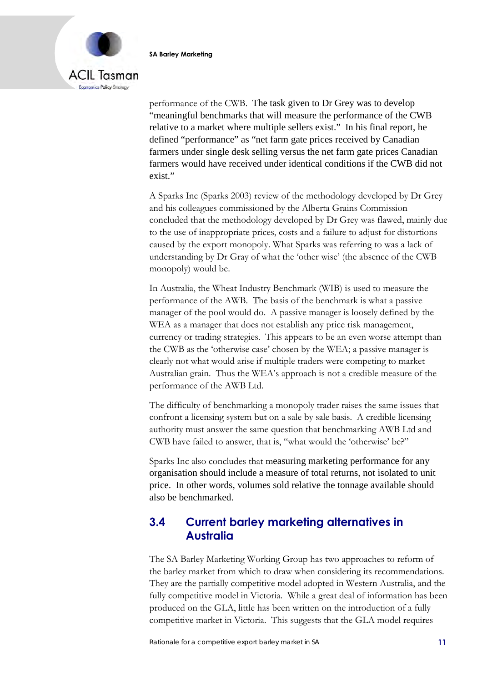



performance of the CWB. The task given to Dr Grey was to develop "meaningful benchmarks that will measure the performance of the CWB relative to a market where multiple sellers exist." In his final report, he defined "performance" as "net farm gate prices received by Canadian farmers under single desk selling versus the net farm gate prices Canadian farmers would have received under identical conditions if the CWB did not exist."

A Sparks Inc (Sparks 2003) review of the methodology developed by Dr Grey and his colleagues commissioned by the Alberta Grains Commission concluded that the methodology developed by Dr Grey was flawed, mainly due to the use of inappropriate prices, costs and a failure to adjust for distortions caused by the export monopoly. What Sparks was referring to was a lack of understanding by Dr Gray of what the 'other wise' (the absence of the CWB monopoly) would be.

In Australia, the Wheat Industry Benchmark (WIB) is used to measure the performance of the AWB. The basis of the benchmark is what a passive manager of the pool would do. A passive manager is loosely defined by the WEA as a manager that does not establish any price risk management, currency or trading strategies. This appears to be an even worse attempt than the CWB as the 'otherwise case' chosen by the WEA; a passive manager is clearly not what would arise if multiple traders were competing to market Australian grain. Thus the WEA's approach is not a credible measure of the performance of the AWB Ltd.

The difficulty of benchmarking a monopoly trader raises the same issues that confront a licensing system but on a sale by sale basis. A credible licensing authority must answer the same question that benchmarking AWB Ltd and CWB have failed to answer, that is, "what would the 'otherwise' be?"

Sparks Inc also concludes that measuring marketing performance for any organisation should include a measure of total returns, not isolated to unit price. In other words, volumes sold relative the tonnage available should also be benchmarked.

## **3.4 Current barley marketing alternatives in Australia**

The SA Barley Marketing Working Group has two approaches to reform of the barley market from which to draw when considering its recommendations. They are the partially competitive model adopted in Western Australia, and the fully competitive model in Victoria. While a great deal of information has been produced on the GLA, little has been written on the introduction of a fully competitive market in Victoria. This suggests that the GLA model requires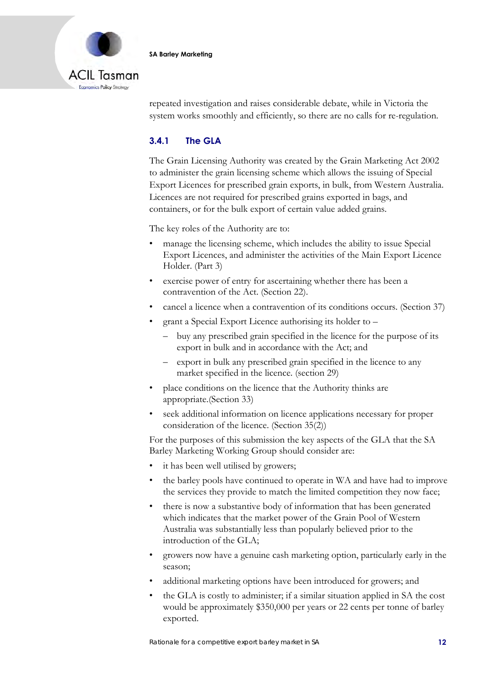

repeated investigation and raises considerable debate, while in Victoria the system works smoothly and efficiently, so there are no calls for re-regulation.

### **3.4.1 The GLA**

The Grain Licensing Authority was created by the Grain Marketing Act 2002 to administer the grain licensing scheme which allows the issuing of Special Export Licences for prescribed grain exports, in bulk, from Western Australia. Licences are not required for prescribed grains exported in bags, and containers, or for the bulk export of certain value added grains.

The key roles of the Authority are to:

- manage the licensing scheme, which includes the ability to issue Special Export Licences, and administer the activities of the Main Export Licence Holder. (Part 3)
- exercise power of entry for ascertaining whether there has been a contravention of the Act. (Section 22).
- cancel a licence when a contravention of its conditions occurs. (Section 37)
- grant a Special Export Licence authorising its holder to
	- buy any prescribed grain specified in the licence for the purpose of its export in bulk and in accordance with the Act; and
	- export in bulk any prescribed grain specified in the licence to any market specified in the licence. (section 29)
- place conditions on the licence that the Authority thinks are appropriate.(Section 33)
- seek additional information on licence applications necessary for proper consideration of the licence. (Section 35(2))

For the purposes of this submission the key aspects of the GLA that the SA Barley Marketing Working Group should consider are:

- it has been well utilised by growers;
- the barley pools have continued to operate in WA and have had to improve the services they provide to match the limited competition they now face;
- there is now a substantive body of information that has been generated which indicates that the market power of the Grain Pool of Western Australia was substantially less than popularly believed prior to the introduction of the GLA;
- growers now have a genuine cash marketing option, particularly early in the season;
- additional marketing options have been introduced for growers; and
- the GLA is costly to administer; if a similar situation applied in SA the cost would be approximately \$350,000 per years or 22 cents per tonne of barley exported.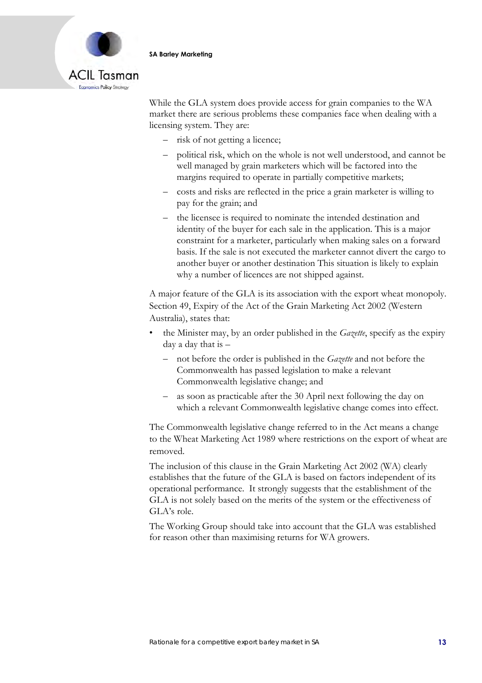

While the GLA system does provide access for grain companies to the WA market there are serious problems these companies face when dealing with a licensing system. They are:

- risk of not getting a licence;
- political risk, which on the whole is not well understood, and cannot be well managed by grain marketers which will be factored into the margins required to operate in partially competitive markets;
- costs and risks are reflected in the price a grain marketer is willing to pay for the grain; and
- the licensee is required to nominate the intended destination and identity of the buyer for each sale in the application. This is a major constraint for a marketer, particularly when making sales on a forward basis. If the sale is not executed the marketer cannot divert the cargo to another buyer or another destination This situation is likely to explain why a number of licences are not shipped against.

A major feature of the GLA is its association with the export wheat monopoly. Section 49, Expiry of the Act of the Grain Marketing Act 2002 (Western Australia), states that:

- the Minister may, by an order published in the *Gazette*, specify as the expiry day a day that is –
	- not before the order is published in the *Gazette* and not before the Commonwealth has passed legislation to make a relevant Commonwealth legislative change; and
	- as soon as practicable after the 30 April next following the day on which a relevant Commonwealth legislative change comes into effect.

The Commonwealth legislative change referred to in the Act means a change to the Wheat Marketing Act 1989 where restrictions on the export of wheat are removed.

The inclusion of this clause in the Grain Marketing Act 2002 (WA) clearly establishes that the future of the GLA is based on factors independent of its operational performance. It strongly suggests that the establishment of the GLA is not solely based on the merits of the system or the effectiveness of GLA's role.

The Working Group should take into account that the GLA was established for reason other than maximising returns for WA growers.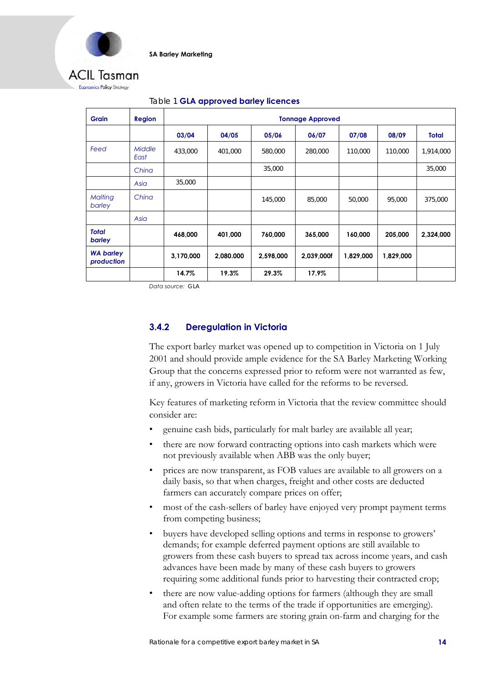

### ACII Tasman Economics Policy Strotegy

| <b>Grain</b>                   | <b>Region</b>         | <b>Tonnage Approved</b> |           |           |            |           |           |              |
|--------------------------------|-----------------------|-------------------------|-----------|-----------|------------|-----------|-----------|--------------|
|                                |                       | 03/04                   | 04/05     | 05/06     | 06/07      | 07/08     | 08/09     | <b>Total</b> |
| Feed                           | <b>Middle</b><br>East | 433,000                 | 401,000   | 580,000   | 280,000    | 110,000   | 110,000   | 1,914,000    |
|                                | China                 |                         |           | 35,000    |            |           |           | 35,000       |
|                                | Asia                  | 35,000                  |           |           |            |           |           |              |
| Malting<br>barley              | China                 |                         |           | 145,000   | 85,000     | 50,000    | 95,000    | 375,000      |
|                                | Asia                  |                         |           |           |            |           |           |              |
| <b>Total</b><br>barley         |                       | 468,000                 | 401,000   | 760,000   | 365,000    | 160,000   | 205,000   | 2,324,000    |
| <b>WA barley</b><br>production |                       | 3,170,000               | 2,080.000 | 2,598,000 | 2,039,000f | 1,829,000 | 1,829,000 |              |
|                                |                       | 14.7%                   | 19.3%     | 29.3%     | 17.9%      |           |           |              |

### Table 1 **GLA approved barley licences**

*Data source:* GLA

### **3.4.2 Deregulation in Victoria**

The export barley market was opened up to competition in Victoria on 1 July 2001 and should provide ample evidence for the SA Barley Marketing Working Group that the concerns expressed prior to reform were not warranted as few, if any, growers in Victoria have called for the reforms to be reversed.

Key features of marketing reform in Victoria that the review committee should consider are:

- genuine cash bids, particularly for malt barley are available all year;
- there are now forward contracting options into cash markets which were not previously available when ABB was the only buyer;
- prices are now transparent, as FOB values are available to all growers on a daily basis, so that when charges, freight and other costs are deducted farmers can accurately compare prices on offer;
- most of the cash-sellers of barley have enjoyed very prompt payment terms from competing business;
- buyers have developed selling options and terms in response to growers' demands; for example deferred payment options are still available to growers from these cash buyers to spread tax across income years, and cash advances have been made by many of these cash buyers to growers requiring some additional funds prior to harvesting their contracted crop;
- there are now value-adding options for farmers (although they are small and often relate to the terms of the trade if opportunities are emerging). For example some farmers are storing grain on-farm and charging for the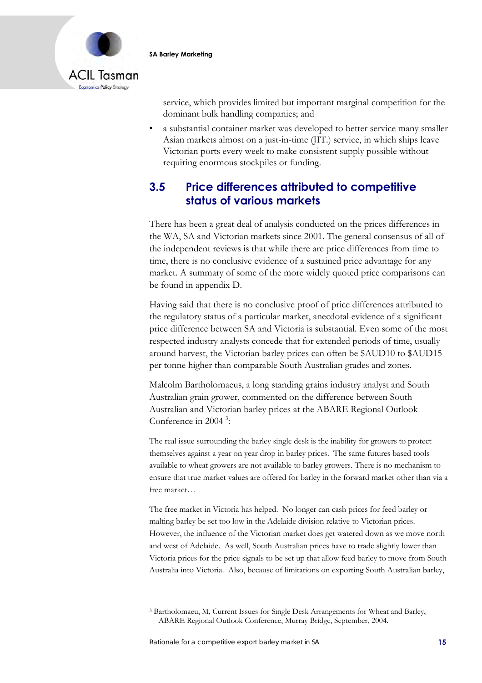

service, which provides limited but important marginal competition for the dominant bulk handling companies; and

• a substantial container market was developed to better service many smaller Asian markets almost on a just-in-time (JIT.) service, in which ships leave Victorian ports every week to make consistent supply possible without requiring enormous stockpiles or funding.

## **3.5 Price differences attributed to competitive status of various markets**

There has been a great deal of analysis conducted on the prices differences in the WA, SA and Victorian markets since 2001. The general consensus of all of the independent reviews is that while there are price differences from time to time, there is no conclusive evidence of a sustained price advantage for any market. A summary of some of the more widely quoted price comparisons can be found in appendix D.

Having said that there is no conclusive proof of price differences attributed to the regulatory status of a particular market, anecdotal evidence of a significant price difference between SA and Victoria is substantial. Even some of the most respected industry analysts concede that for extended periods of time, usually around harvest, the Victorian barley prices can often be \$AUD10 to \$AUD15 per tonne higher than comparable South Australian grades and zones.

Malcolm Bartholomaeus, a long standing grains industry analyst and South Australian grain grower, commented on the difference between South Australian and Victorian barley prices at the ABARE Regional Outlook Conference in 2004<sup>3</sup>:

The real issue surrounding the barley single desk is the inability for growers to protect themselves against a year on year drop in barley prices. The same futures based tools available to wheat growers are not available to barley growers. There is no mechanism to ensure that true market values are offered for barley in the forward market other than via a free market…

The free market in Victoria has helped. No longer can cash prices for feed barley or malting barley be set too low in the Adelaide division relative to Victorian prices. However, the influence of the Victorian market does get watered down as we move north and west of Adelaide. As well, South Australian prices have to trade slightly lower than Victoria prices for the price signals to be set up that allow feed barley to move from South Australia into Victoria. Also, because of limitations on exporting South Australian barley,

<sup>3</sup> Bartholomaeu, M, Current Issues for Single Desk Arrangements for Wheat and Barley, ABARE Regional Outlook Conference, Murray Bridge, September, 2004.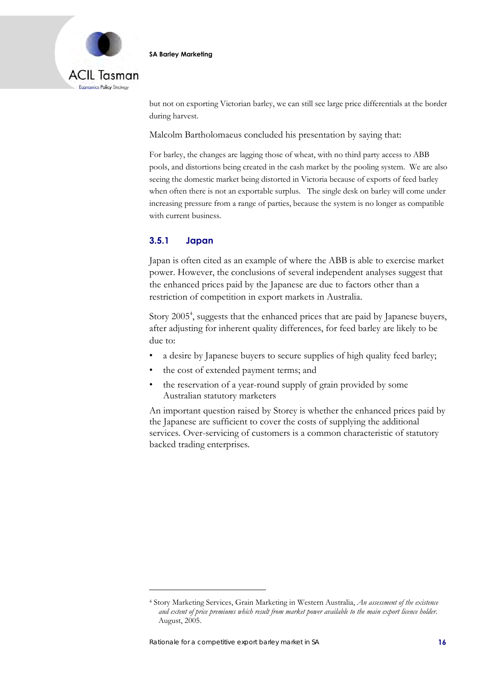

but not on exporting Victorian barley, we can still see large price differentials at the border during harvest.

Malcolm Bartholomaeus concluded his presentation by saying that:

For barley, the changes are lagging those of wheat, with no third party access to ABB pools, and distortions being created in the cash market by the pooling system. We are also seeing the domestic market being distorted in Victoria because of exports of feed barley when often there is not an exportable surplus. The single desk on barley will come under increasing pressure from a range of parties, because the system is no longer as compatible with current business.

### **3.5.1 Japan**

Japan is often cited as an example of where the ABB is able to exercise market power. However, the conclusions of several independent analyses suggest that the enhanced prices paid by the Japanese are due to factors other than a restriction of competition in export markets in Australia.

Story 2005<sup>4</sup>, suggests that the enhanced prices that are paid by Japanese buyers, after adjusting for inherent quality differences, for feed barley are likely to be due to:

- a desire by Japanese buyers to secure supplies of high quality feed barley;
- the cost of extended payment terms; and
- the reservation of a year-round supply of grain provided by some Australian statutory marketers

An important question raised by Storey is whether the enhanced prices paid by the Japanese are sufficient to cover the costs of supplying the additional services. Over-servicing of customers is a common characteristic of statutory backed trading enterprises.

<sup>4</sup> Story Marketing Services, Grain Marketing in Western Australia, *An assessment of the existence and extent of price premiums which result from market power available to the main export licence holder*. August, 2005.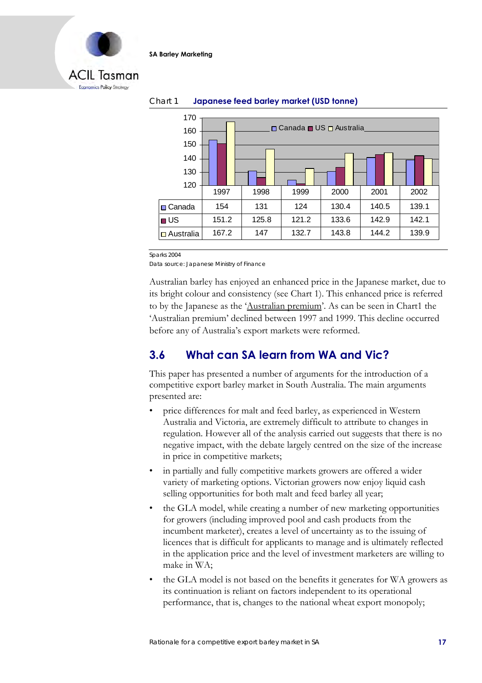



### Chart 1 **Japanese feed barley market (USD tonne)**

Sparks 2004

Data source: Japanese Ministry of Finance

Australian barley has enjoyed an enhanced price in the Japanese market, due to its bright colour and consistency (see Chart 1). This enhanced price is referred to by the Japanese as the 'Australian premium'. As can be seen in Chart1 the 'Australian premium' declined between 1997 and 1999. This decline occurred before any of Australia's export markets were reformed.

### **3.6 What can SA learn from WA and Vic?**

This paper has presented a number of arguments for the introduction of a competitive export barley market in South Australia. The main arguments presented are:

- price differences for malt and feed barley, as experienced in Western Australia and Victoria, are extremely difficult to attribute to changes in regulation. However all of the analysis carried out suggests that there is no negative impact, with the debate largely centred on the size of the increase in price in competitive markets;
- in partially and fully competitive markets growers are offered a wider variety of marketing options. Victorian growers now enjoy liquid cash selling opportunities for both malt and feed barley all year;
- the GLA model, while creating a number of new marketing opportunities for growers (including improved pool and cash products from the incumbent marketer), creates a level of uncertainty as to the issuing of licences that is difficult for applicants to manage and is ultimately reflected in the application price and the level of investment marketers are willing to make in WA;
- the GLA model is not based on the benefits it generates for WA growers as its continuation is reliant on factors independent to its operational performance, that is, changes to the national wheat export monopoly;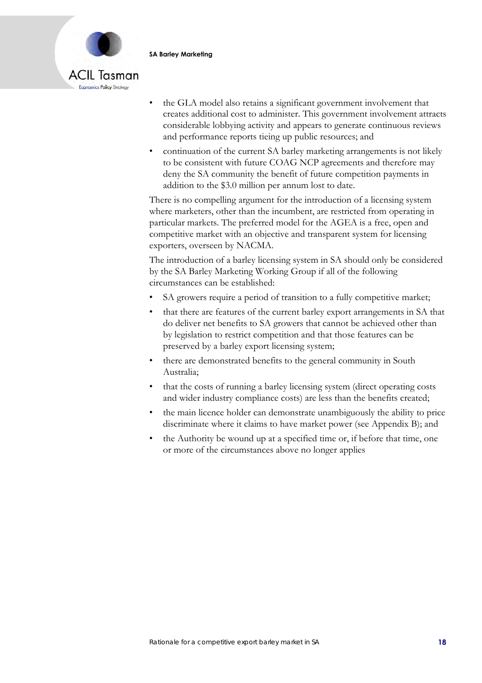

- the GLA model also retains a significant government involvement that creates additional cost to administer. This government involvement attracts considerable lobbying activity and appears to generate continuous reviews and performance reports tieing up public resources; and
- continuation of the current SA barley marketing arrangements is not likely to be consistent with future COAG NCP agreements and therefore may deny the SA community the benefit of future competition payments in addition to the \$3.0 million per annum lost to date.

There is no compelling argument for the introduction of a licensing system where marketers, other than the incumbent, are restricted from operating in particular markets. The preferred model for the AGEA is a free, open and competitive market with an objective and transparent system for licensing exporters, overseen by NACMA.

The introduction of a barley licensing system in SA should only be considered by the SA Barley Marketing Working Group if all of the following circumstances can be established:

- SA growers require a period of transition to a fully competitive market;
- that there are features of the current barley export arrangements in SA that do deliver net benefits to SA growers that cannot be achieved other than by legislation to restrict competition and that those features can be preserved by a barley export licensing system;
- there are demonstrated benefits to the general community in South Australia;
- that the costs of running a barley licensing system (direct operating costs) and wider industry compliance costs) are less than the benefits created;
- the main licence holder can demonstrate unambiguously the ability to price discriminate where it claims to have market power (see Appendix B); and
- the Authority be wound up at a specified time or, if before that time, one or more of the circumstances above no longer applies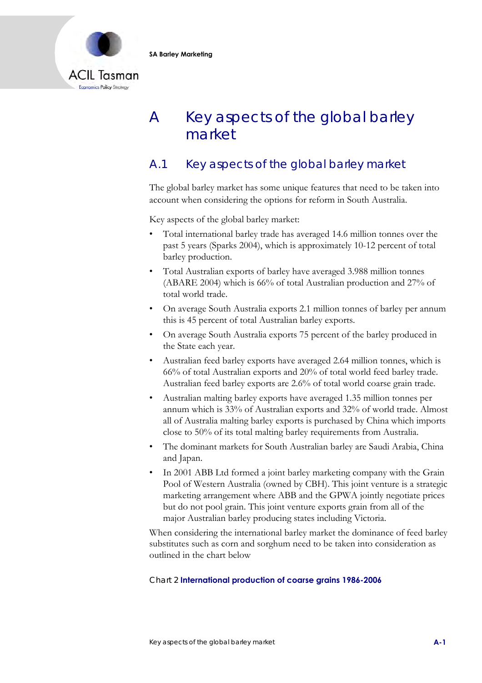

# A Key aspects of the global barley market

## A.1 Key aspects of the global barley market

The global barley market has some unique features that need to be taken into account when considering the options for reform in South Australia.

Key aspects of the global barley market:

- Total international barley trade has averaged 14.6 million tonnes over the past 5 years (Sparks 2004), which is approximately 10-12 percent of total barley production.
- Total Australian exports of barley have averaged 3.988 million tonnes (ABARE 2004) which is 66% of total Australian production and 27% of total world trade.
- On average South Australia exports 2.1 million tonnes of barley per annum this is 45 percent of total Australian barley exports.
- On average South Australia exports 75 percent of the barley produced in the State each year.
- Australian feed barley exports have averaged 2.64 million tonnes, which is 66% of total Australian exports and 20% of total world feed barley trade. Australian feed barley exports are 2.6% of total world coarse grain trade.
- Australian malting barley exports have averaged 1.35 million tonnes per annum which is 33% of Australian exports and 32% of world trade. Almost all of Australia malting barley exports is purchased by China which imports close to 50% of its total malting barley requirements from Australia.
- The dominant markets for South Australian barley are Saudi Arabia, China and Japan.
- In 2001 ABB Ltd formed a joint barley marketing company with the Grain Pool of Western Australia (owned by CBH). This joint venture is a strategic marketing arrangement where ABB and the GPWA jointly negotiate prices but do not pool grain. This joint venture exports grain from all of the major Australian barley producing states including Victoria.

When considering the international barley market the dominance of feed barley substitutes such as corn and sorghum need to be taken into consideration as outlined in the chart below

### Chart 2 **International production of coarse grains 1986-2006**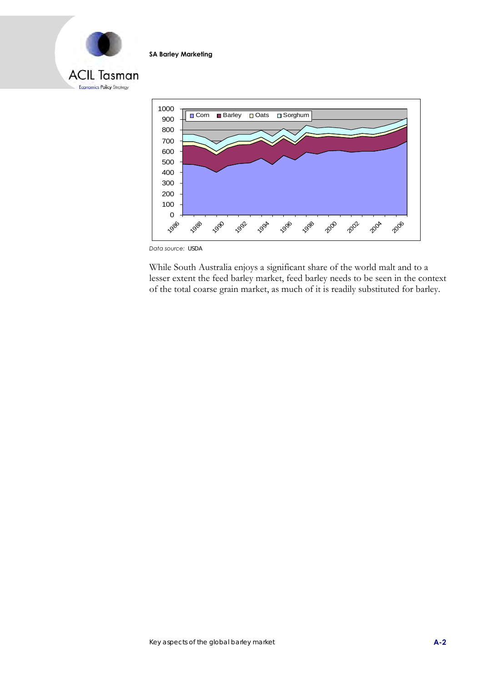



*Data source:* USDA

While South Australia enjoys a significant share of the world malt and to a lesser extent the feed barley market, feed barley needs to be seen in the context of the total coarse grain market, as much of it is readily substituted for barley.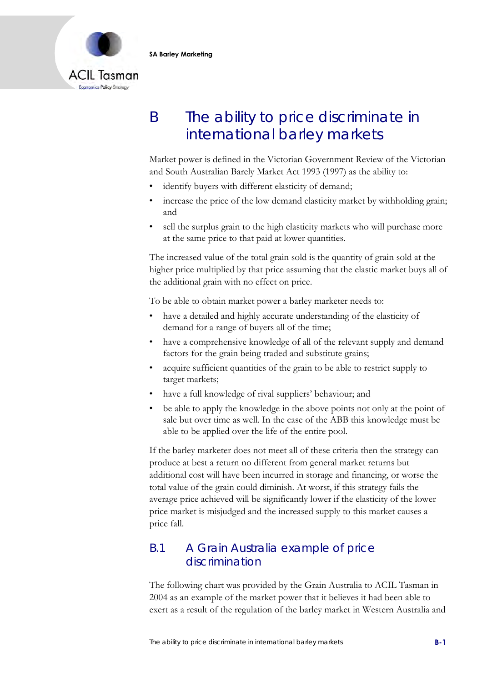

# B The ability to price discriminate in international barley markets

Market power is defined in the Victorian Government Review of the Victorian and South Australian Barely Market Act 1993 (1997) as the ability to:

- identify buyers with different elasticity of demand;
- increase the price of the low demand elasticity market by withholding grain; and
- sell the surplus grain to the high elasticity markets who will purchase more at the same price to that paid at lower quantities.

The increased value of the total grain sold is the quantity of grain sold at the higher price multiplied by that price assuming that the elastic market buys all of the additional grain with no effect on price.

To be able to obtain market power a barley marketer needs to:

- have a detailed and highly accurate understanding of the elasticity of demand for a range of buyers all of the time;
- have a comprehensive knowledge of all of the relevant supply and demand factors for the grain being traded and substitute grains;
- acquire sufficient quantities of the grain to be able to restrict supply to target markets;
- have a full knowledge of rival suppliers' behaviour; and
- be able to apply the knowledge in the above points not only at the point of sale but over time as well. In the case of the ABB this knowledge must be able to be applied over the life of the entire pool.

If the barley marketer does not meet all of these criteria then the strategy can produce at best a return no different from general market returns but additional cost will have been incurred in storage and financing, or worse the total value of the grain could diminish. At worst, if this strategy fails the average price achieved will be significantly lower if the elasticity of the lower price market is misjudged and the increased supply to this market causes a price fall.

### B.1 A Grain Australia example of price discrimination

The following chart was provided by the Grain Australia to ACIL Tasman in 2004 as an example of the market power that it believes it had been able to exert as a result of the regulation of the barley market in Western Australia and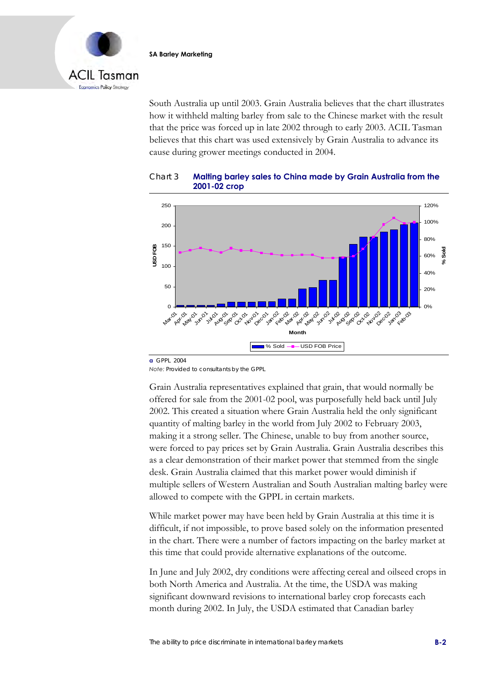

South Australia up until 2003. Grain Australia believes that the chart illustrates how it withheld malting barley from sale to the Chinese market with the result that the price was forced up in late 2002 through to early 2003. ACIL Tasman believes that this chart was used extensively by Grain Australia to advance its cause during grower meetings conducted in 2004.





**a** GPPL 2004

*Note:* Provided to consultants by the GPPL

Grain Australia representatives explained that grain, that would normally be offered for sale from the 2001-02 pool, was purposefully held back until July 2002. This created a situation where Grain Australia held the only significant quantity of malting barley in the world from July 2002 to February 2003, making it a strong seller. The Chinese, unable to buy from another source, were forced to pay prices set by Grain Australia. Grain Australia describes this as a clear demonstration of their market power that stemmed from the single desk. Grain Australia claimed that this market power would diminish if multiple sellers of Western Australian and South Australian malting barley were allowed to compete with the GPPL in certain markets.

While market power may have been held by Grain Australia at this time it is difficult, if not impossible, to prove based solely on the information presented in the chart. There were a number of factors impacting on the barley market at this time that could provide alternative explanations of the outcome.

In June and July 2002, dry conditions were affecting cereal and oilseed crops in both North America and Australia. At the time, the USDA was making significant downward revisions to international barley crop forecasts each month during 2002. In July, the USDA estimated that Canadian barley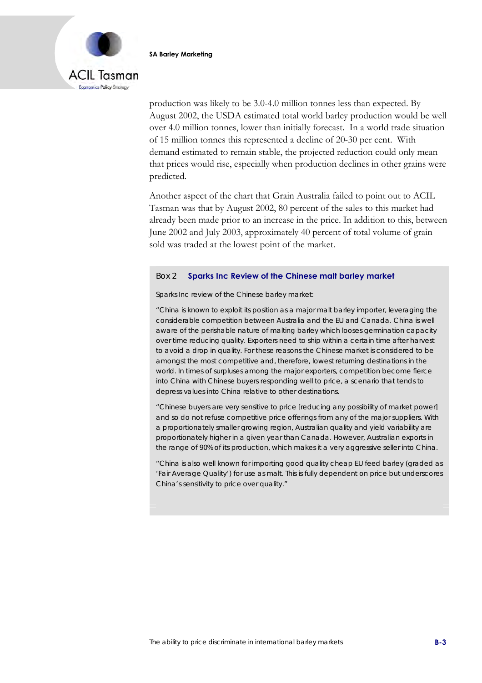

production was likely to be 3.0-4.0 million tonnes less than expected. By August 2002, the USDA estimated total world barley production would be well over 4.0 million tonnes, lower than initially forecast. In a world trade situation of 15 million tonnes this represented a decline of 20-30 per cent. With demand estimated to remain stable, the projected reduction could only mean that prices would rise, especially when production declines in other grains were predicted.

Another aspect of the chart that Grain Australia failed to point out to ACIL Tasman was that by August 2002, 80 percent of the sales to this market had already been made prior to an increase in the price. In addition to this, between June 2002 and July 2003, approximately 40 percent of total volume of grain sold was traded at the lowest point of the market.

#### Box 2 **Sparks Inc Review of the Chinese malt barley market**

Sparks Inc review of the Chinese barley market:

"China is known to exploit its position as a major malt barley importer, leveraging the considerable competition between Australia and the EU and Canada. China is well aware of the perishable nature of malting barley which looses germination capacity over time reducing quality. Exporters need to ship within a certain time after harvest to avoid a drop in quality. For these reasons the Chinese market is considered to be amongst the most competitive and, therefore, lowest returning destinations in the world. In times of surpluses among the major exporters, competition become fierce into China with Chinese buyers responding well to price, a scenario that tends to depress values into China relative to other destinations.

"Chinese buyers are very sensitive to price [reducing any possibility of market power] and so do not refuse competitive price offerings from any of the major suppliers. With a proportionately smaller growing region, Australian quality and yield variability are proportionately higher in a given year than Canada. However, Australian exports in the range of 90% of its production, which makes it a very aggressive seller into China.

"China is also well known for importing good quality cheap EU feed barley (graded as 'Fair Average Quality') for use as malt. This is fully dependent on price but underscores China's sensitivity to price over quality."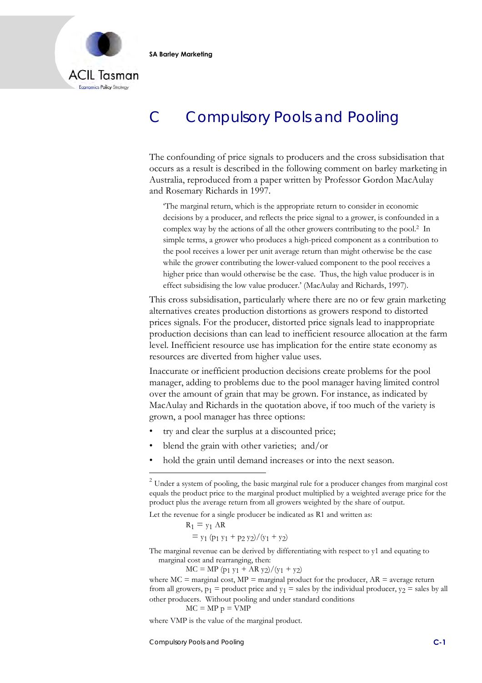

# C Compulsory Pools and Pooling

The confounding of price signals to producers and the cross subsidisation that occurs as a result is described in the following comment on barley marketing in Australia, reproduced from a paper written by Professor Gordon MacAulay and Rosemary Richards in 1997.

'The marginal return, which is the appropriate return to consider in economic decisions by a producer, and reflects the price signal to a grower, is confounded in a complex way by the actions of all the other growers contributing to the pool.2 In simple terms, a grower who produces a high-priced component as a contribution to the pool receives a lower per unit average return than might otherwise be the case while the grower contributing the lower-valued component to the pool receives a higher price than would otherwise be the case. Thus, the high value producer is in effect subsidising the low value producer.' (MacAulay and Richards, 1997).

This cross subsidisation, particularly where there are no or few grain marketing alternatives creates production distortions as growers respond to distorted prices signals. For the producer, distorted price signals lead to inappropriate production decisions than can lead to inefficient resource allocation at the farm level. Inefficient resource use has implication for the entire state economy as resources are diverted from higher value uses.

Inaccurate or inefficient production decisions create problems for the pool manager, adding to problems due to the pool manager having limited control over the amount of grain that may be grown. For instance, as indicated by MacAulay and Richards in the quotation above, if too much of the variety is grown, a pool manager has three options:

- try and clear the surplus at a discounted price;
- blend the grain with other varieties; and/or
- hold the grain until demand increases or into the next season.

Let the revenue for a single producer be indicated as R1 and written as:

$$
R_1 = y_1 AR
$$
  
=  $y_1 (p_1 y_1 + p_2 y_2) / (y_1 + y_2)$ 

The marginal revenue can be derived by differentiating with respect to y1 and equating to marginal cost and rearranging, then:

 $MC = MP (p_1 y_1 + AR y_2)/(y_1 + y_2)$ 

where  $MC =$  marginal cost,  $MP =$  marginal product for the producer,  $AR =$  average return from all growers,  $p_1$  = product price and  $y_1$  = sales by the individual producer,  $y_2$  = sales by all other producers. Without pooling and under standard conditions

$$
MC = MP p = VMP
$$

where VMP is the value of the marginal product.

Compulsory Pools and Pooling **C-1**

 $2$  Under a system of pooling, the basic marginal rule for a producer changes from marginal cost equals the product price to the marginal product multiplied by a weighted average price for the product plus the average return from all growers weighted by the share of output.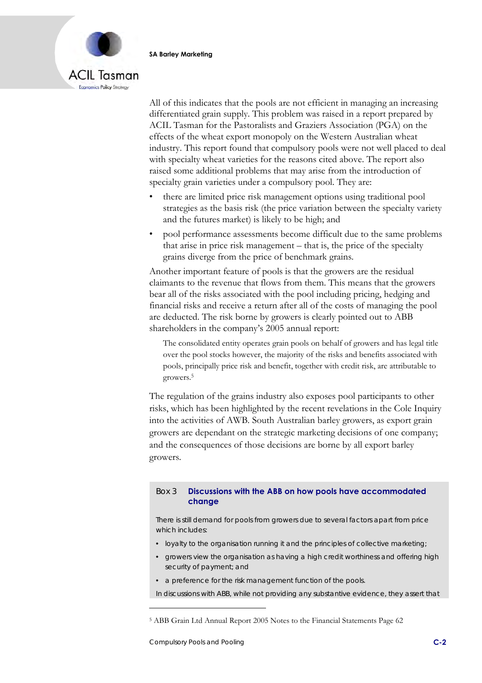

All of this indicates that the pools are not efficient in managing an increasing differentiated grain supply. This problem was raised in a report prepared by ACIL Tasman for the Pastoralists and Graziers Association (PGA) on the effects of the wheat export monopoly on the Western Australian wheat industry. This report found that compulsory pools were not well placed to deal with specialty wheat varieties for the reasons cited above. The report also raised some additional problems that may arise from the introduction of specialty grain varieties under a compulsory pool. They are:

- there are limited price risk management options using traditional pool strategies as the basis risk (the price variation between the specialty variety and the futures market) is likely to be high; and
- pool performance assessments become difficult due to the same problems that arise in price risk management – that is, the price of the specialty grains diverge from the price of benchmark grains.

Another important feature of pools is that the growers are the residual claimants to the revenue that flows from them. This means that the growers bear all of the risks associated with the pool including pricing, hedging and financial risks and receive a return after all of the costs of managing the pool are deducted. The risk borne by growers is clearly pointed out to ABB shareholders in the company's 2005 annual report:

The consolidated entity operates grain pools on behalf of growers and has legal title over the pool stocks however, the majority of the risks and benefits associated with pools, principally price risk and benefit, together with credit risk, are attributable to growers.5

The regulation of the grains industry also exposes pool participants to other risks, which has been highlighted by the recent revelations in the Cole Inquiry into the activities of AWB. South Australian barley growers, as export grain growers are dependant on the strategic marketing decisions of one company; and the consequences of those decisions are borne by all export barley growers.

### Box 3 **Discussions with the ABB on how pools have accommodated change**

There is still demand for pools from growers due to several factors apart from price which includes:

- loyalty to the organisation running it and the principles of collective marketing;
- growers view the organisation as having a high credit worthiness and offering high security of payment; and
- a preference for the risk management function of the pools.
- In discussions with ABB, while not providing any substantive evidence, they assert that

<sup>5</sup> ABB Grain Ltd Annual Report 2005 Notes to the Financial Statements Page 62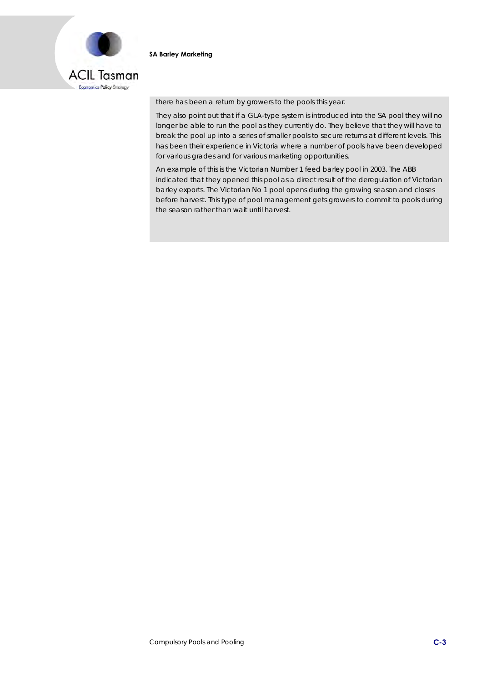

there has been a return by growers to the pools this year.

They also point out that if a GLA-type system is introduced into the SA pool they will no longer be able to run the pool as they currently do. They believe that they will have to break the pool up into a series of smaller pools to secure returns at different levels. This has been their experience in Victoria where a number of pools have been developed for various grades and for various marketing opportunities.

An example of this is the Victorian Number 1 feed barley pool in 2003. The ABB indicated that they opened this pool as a direct result of the deregulation of Victorian barley exports. The Victorian No 1 pool opens during the growing season and closes before harvest. This type of pool management gets growers to commit to pools during the season rather than wait until harvest.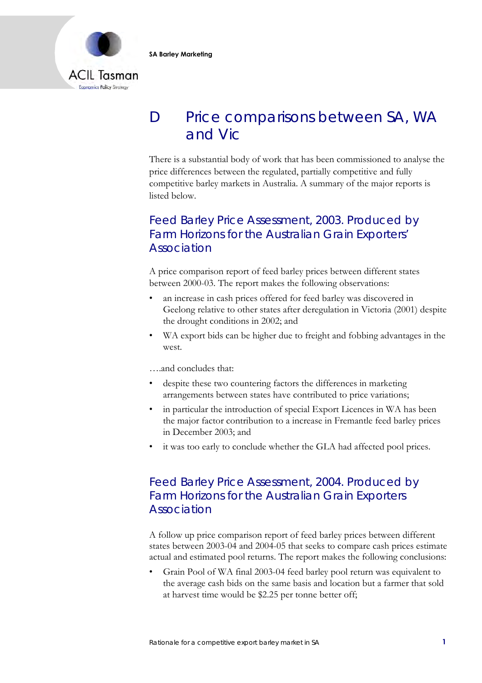

# D Price comparisons between SA, WA and Vic

There is a substantial body of work that has been commissioned to analyse the price differences between the regulated, partially competitive and fully competitive barley markets in Australia. A summary of the major reports is listed below.

## Feed Barley Price Assessment, 2003. Produced by Farm Horizons for the Australian Grain Exporters' Association

A price comparison report of feed barley prices between different states between 2000-03. The report makes the following observations:

- an increase in cash prices offered for feed barley was discovered in Geelong relative to other states after deregulation in Victoria (2001) despite the drought conditions in 2002; and
- WA export bids can be higher due to freight and fobbing advantages in the west.

….and concludes that:

- despite these two countering factors the differences in marketing arrangements between states have contributed to price variations;
- in particular the introduction of special Export Licences in WA has been the major factor contribution to a increase in Fremantle feed barley prices in December 2003; and
- it was too early to conclude whether the GLA had affected pool prices.

### Feed Barley Price Assessment, 2004. Produced by Farm Horizons for the Australian Grain Exporters Association

A follow up price comparison report of feed barley prices between different states between 2003-04 and 2004-05 that seeks to compare cash prices estimate actual and estimated pool returns. The report makes the following conclusions:

• Grain Pool of WA final 2003-04 feed barley pool return was equivalent to the average cash bids on the same basis and location but a farmer that sold at harvest time would be \$2.25 per tonne better off;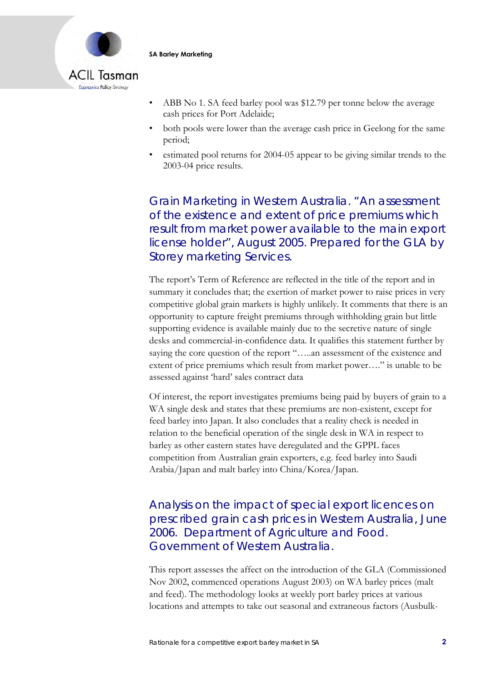

- ABB No 1. SA feed barley pool was \$12.79 per tonne below the average cash prices for Port Adelaide;
- both pools were lower than the average cash price in Geelong for the same period;
- estimated pool returns for 2004-05 appear to be giving similar trends to the 2003-04 price results.

Grain Marketing in Western Australia. "An assessment of the existence and extent of price premiums which result from market power available to the main export license holder", August 2005. Prepared for the GLA by Storey marketing Services.

The report's Term of Reference are reflected in the title of the report and in summary it concludes that; the exertion of market power to raise prices in very competitive global grain markets is highly unlikely. It comments that there is an opportunity to capture freight premiums through withholding grain but little supporting evidence is available mainly due to the secretive nature of single desks and commercial-in-confidence data. It qualifies this statement further by saying the core question of the report "…..an assessment of the existence and extent of price premiums which result from market power…." is unable to be assessed against 'hard' sales contract data

Of interest, the report investigates premiums being paid by buyers of grain to a WA single desk and states that these premiums are non-existent, except for feed barley into Japan. It also concludes that a reality check is needed in relation to the beneficial operation of the single desk in WA in respect to barley as other eastern states have deregulated and the GPPL faces competition from Australian grain exporters, e.g. feed barley into Saudi Arabia/Japan and malt barley into China/Korea/Japan.

Analysis on the impact of special export licences on prescribed grain cash prices in Western Australia, June 2006. Department of Agriculture and Food. Government of Western Australia.

This report assesses the affect on the introduction of the GLA (Commissioned Nov 2002, commenced operations August 2003) on WA barley prices (malt and feed). The methodology looks at weekly port barley prices at various locations and attempts to take out seasonal and extraneous factors (Ausbulk-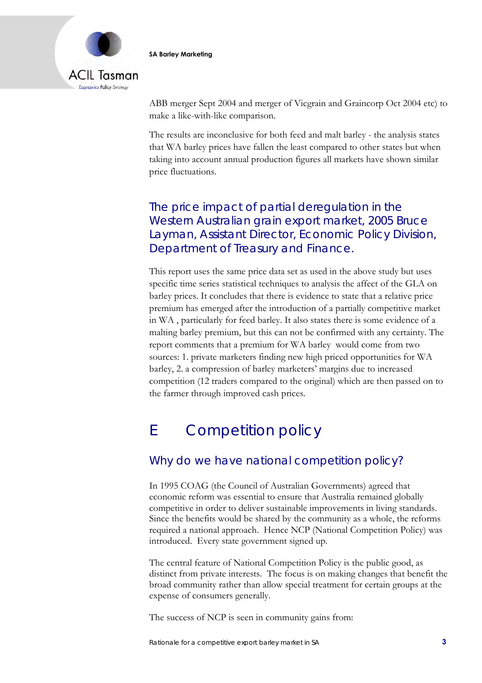

ABB merger Sept 2004 and merger of Vicgrain and Graincorp Oct 2004 etc) to make a like-with-like comparison.

The results are inconclusive for both feed and malt barley - the analysis states that WA barley prices have fallen the least compared to other states but when taking into account annual production figures all markets have shown similar price fluctuations.

## The price impact of partial deregulation in the Western Australian grain export market, 2005 Bruce Layman, Assistant Director, Economic Policy Division, Department of Treasury and Finance.

This report uses the same price data set as used in the above study but uses specific time series statistical techniques to analysis the affect of the GLA on barley prices. It concludes that there is evidence to state that a relative price premium has emerged after the introduction of a partially competitive market in WA , particularly for feed barley. It also states there is some evidence of a malting barley premium, but this can not be confirmed with any certainty. The report comments that a premium for WA barley would come from two sources: 1. private marketers finding new high priced opportunities for WA barley, 2. a compression of barley marketers' margins due to increased competition (12 traders compared to the original) which are then passed on to the farmer through improved cash prices.

# E Competition policy

## Why do we have national competition policy?

In 1995 COAG (the Council of Australian Governments) agreed that economic reform was essential to ensure that Australia remained globally competitive in order to deliver sustainable improvements in living standards. Since the benefits would be shared by the community as a whole, the reforms required a national approach. Hence NCP (National Competition Policy) was introduced. Every state government signed up.

The central feature of National Competition Policy is the public good, as distinct from private interests. The focus is on making changes that benefit the broad community rather than allow special treatment for certain groups at the expense of consumers generally.

The success of NCP is seen in community gains from: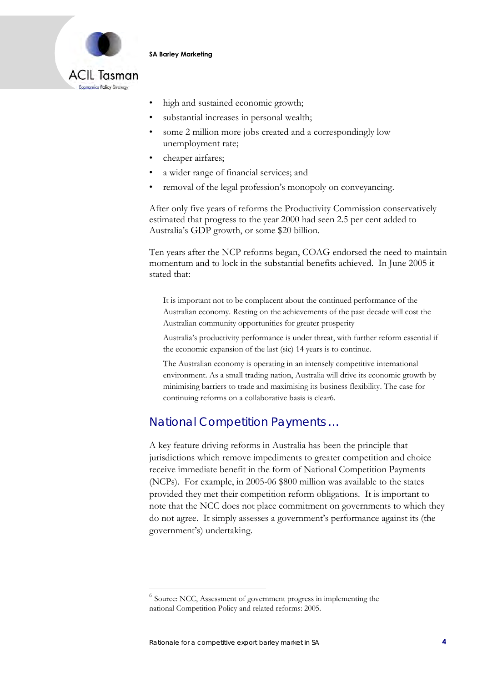

- high and sustained economic growth;
- substantial increases in personal wealth;
- some 2 million more jobs created and a correspondingly low unemployment rate;
- cheaper airfares;
- a wider range of financial services; and
- removal of the legal profession's monopoly on conveyancing.

After only five years of reforms the Productivity Commission conservatively estimated that progress to the year 2000 had seen 2.5 per cent added to Australia's GDP growth, or some \$20 billion.

Ten years after the NCP reforms began, COAG endorsed the need to maintain momentum and to lock in the substantial benefits achieved. In June 2005 it stated that:

It is important not to be complacent about the continued performance of the Australian economy. Resting on the achievements of the past decade will cost the Australian community opportunities for greater prosperity

Australia's productivity performance is under threat, with further reform essential if the economic expansion of the last (sic) 14 years is to continue.

The Australian economy is operating in an intensely competitive international environment. As a small trading nation, Australia will drive its economic growth by minimising barriers to trade and maximising its business flexibility. The case for continuing reforms on a collaborative basis is clear6.

## National Competition Payments …

A key feature driving reforms in Australia has been the principle that jurisdictions which remove impediments to greater competition and choice receive immediate benefit in the form of National Competition Payments (NCPs). For example, in 2005-06 \$800 million was available to the states provided they met their competition reform obligations. It is important to note that the NCC does not place commitment on governments to which they do not agree. It simply assesses a government's performance against its (the government's) undertaking.

 $6$  Source: NCC, Assessment of government progress in implementing the national Competition Policy and related reforms: 2005.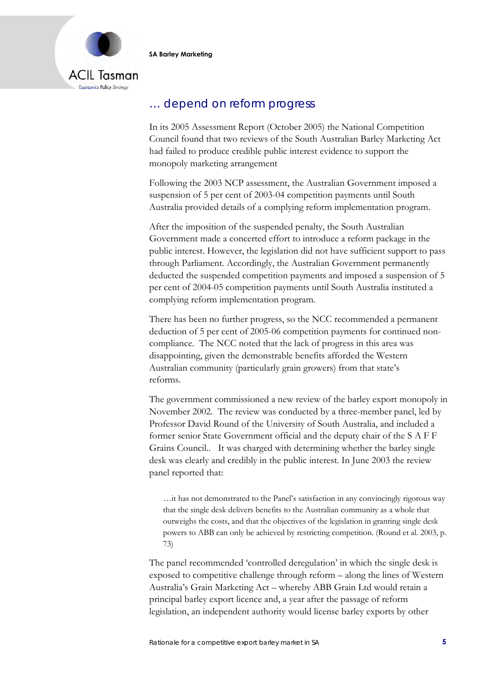

## … depend on reform progress

In its 2005 Assessment Report (October 2005) the National Competition Council found that two reviews of the South Australian Barley Marketing Act had failed to produce credible public interest evidence to support the monopoly marketing arrangement

Following the 2003 NCP assessment, the Australian Government imposed a suspension of 5 per cent of 2003-04 competition payments until South Australia provided details of a complying reform implementation program.

After the imposition of the suspended penalty, the South Australian Government made a concerted effort to introduce a reform package in the public interest. However, the legislation did not have sufficient support to pass through Parliament. Accordingly, the Australian Government permanently deducted the suspended competition payments and imposed a suspension of 5 per cent of 2004-05 competition payments until South Australia instituted a complying reform implementation program.

There has been no further progress, so the NCC recommended a permanent deduction of 5 per cent of 2005-06 competition payments for continued noncompliance. The NCC noted that the lack of progress in this area was disappointing, given the demonstrable benefits afforded the Western Australian community (particularly grain growers) from that state's reforms.

The government commissioned a new review of the barley export monopoly in November 2002. The review was conducted by a three-member panel, led by Professor David Round of the University of South Australia, and included a former senior State Government official and the deputy chair of the S A F F Grains Council.. It was charged with determining whether the barley single desk was clearly and credibly in the public interest. In June 2003 the review panel reported that:

…it has not demonstrated to the Panel's satisfaction in any convincingly rigorous way that the single desk delivers benefits to the Australian community as a whole that outweighs the costs, and that the objectives of the legislation in granting single desk powers to ABB can only be achieved by restricting competition. (Round et al. 2003, p. 73)

The panel recommended 'controlled deregulation' in which the single desk is exposed to competitive challenge through reform – along the lines of Western Australia's Grain Marketing Act – whereby ABB Grain Ltd would retain a principal barley export licence and, a year after the passage of reform legislation, an independent authority would license barley exports by other